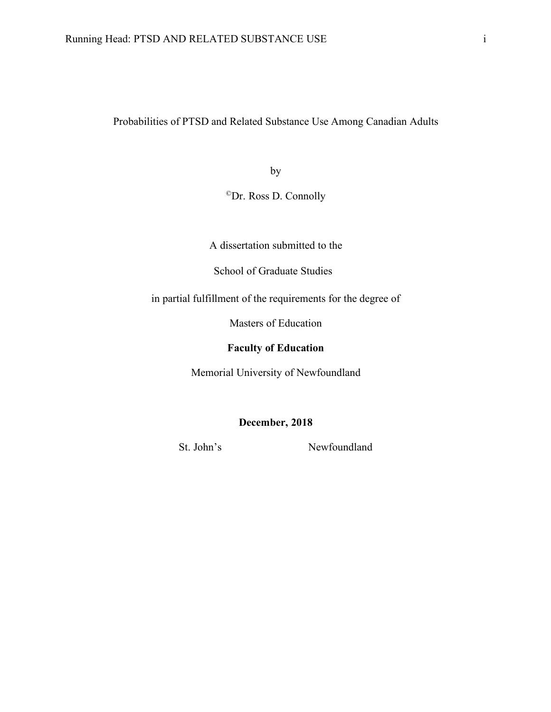Probabilities of PTSD and Related Substance Use Among Canadian Adults

by

©Dr. Ross D. Connolly

A dissertation submitted to the

School of Graduate Studies

in partial fulfillment of the requirements for the degree of

Masters of Education

## **Faculty of Education**

Memorial University of Newfoundland

**December, 2018**

St. John's Newfoundland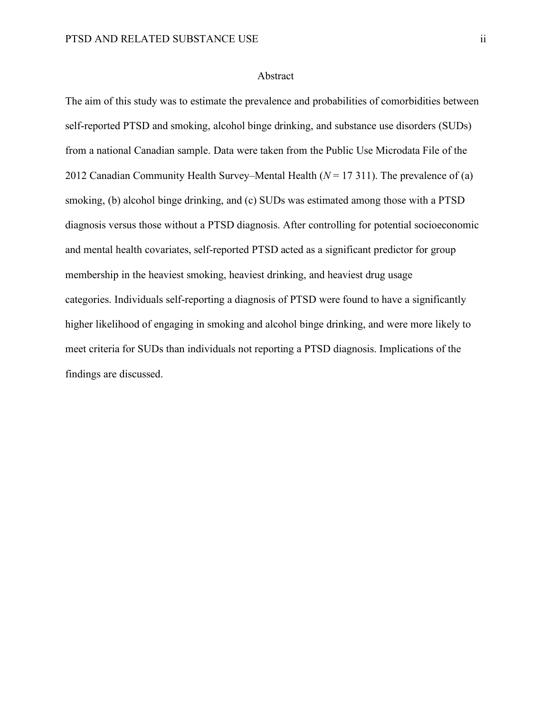#### Abstract

The aim of this study was to estimate the prevalence and probabilities of comorbidities between self-reported PTSD and smoking, alcohol binge drinking, and substance use disorders (SUDs) from a national Canadian sample. Data were taken from the Public Use Microdata File of the 2012 Canadian Community Health Survey–Mental Health (*N* = 17 311). The prevalence of (a) smoking, (b) alcohol binge drinking, and (c) SUDs was estimated among those with a PTSD diagnosis versus those without a PTSD diagnosis. After controlling for potential socioeconomic and mental health covariates, self-reported PTSD acted as a significant predictor for group membership in the heaviest smoking, heaviest drinking, and heaviest drug usage categories. Individuals self-reporting a diagnosis of PTSD were found to have a significantly higher likelihood of engaging in smoking and alcohol binge drinking, and were more likely to meet criteria for SUDs than individuals not reporting a PTSD diagnosis. Implications of the findings are discussed.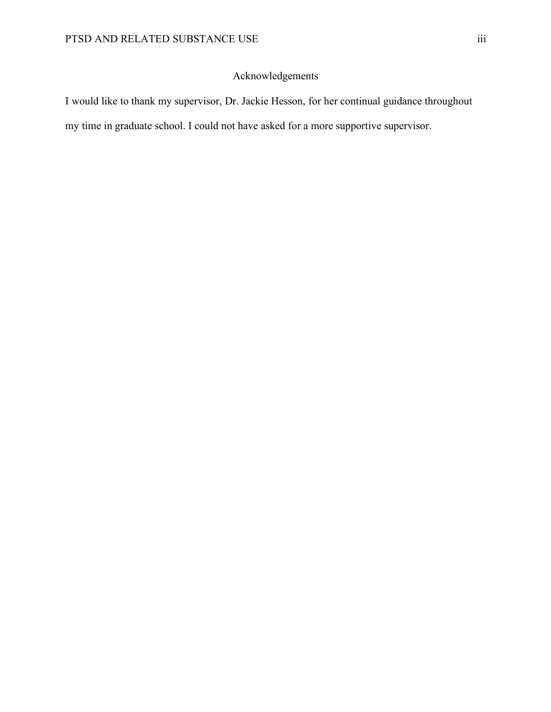# Acknowledgements

I would like to thank my supervisor, Dr. Jackie Hesson, for her continual guidance throughout my time in graduate school. I could not have asked for a more supportive supervisor.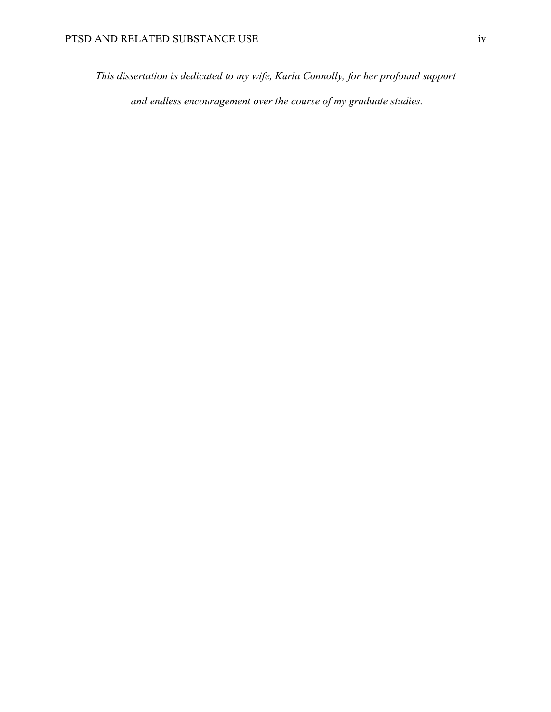*This dissertation is dedicated to my wife, Karla Connolly, for her profound support and endless encouragement over the course of my graduate studies.*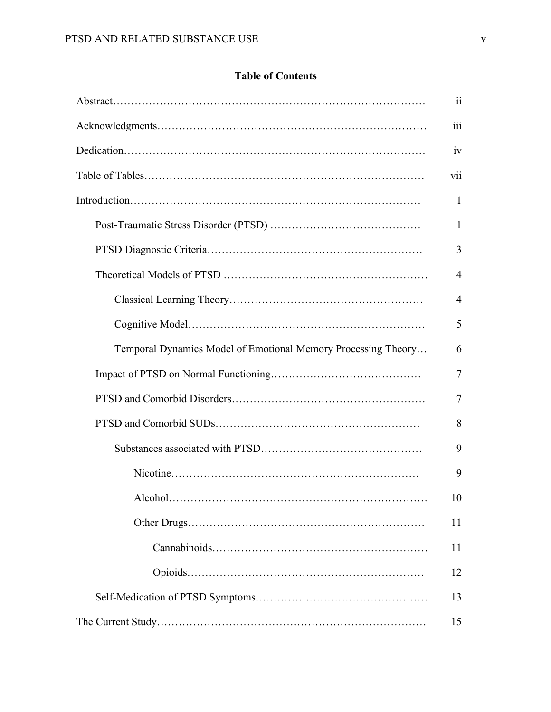# **Table of Contents**

|                                                               | 11             |
|---------------------------------------------------------------|----------------|
|                                                               | iii            |
|                                                               | 1V             |
|                                                               | V11            |
|                                                               | 1              |
|                                                               | 1              |
|                                                               | 3              |
|                                                               | 4              |
|                                                               | $\overline{4}$ |
|                                                               | 5              |
| Temporal Dynamics Model of Emotional Memory Processing Theory | 6              |
|                                                               | $\overline{7}$ |
|                                                               | $\tau$         |
|                                                               | 8              |
|                                                               | 9              |
|                                                               | 9              |
|                                                               | 10             |
|                                                               | 11             |
|                                                               | 11             |
|                                                               | 12             |
|                                                               | 13             |
|                                                               | 15             |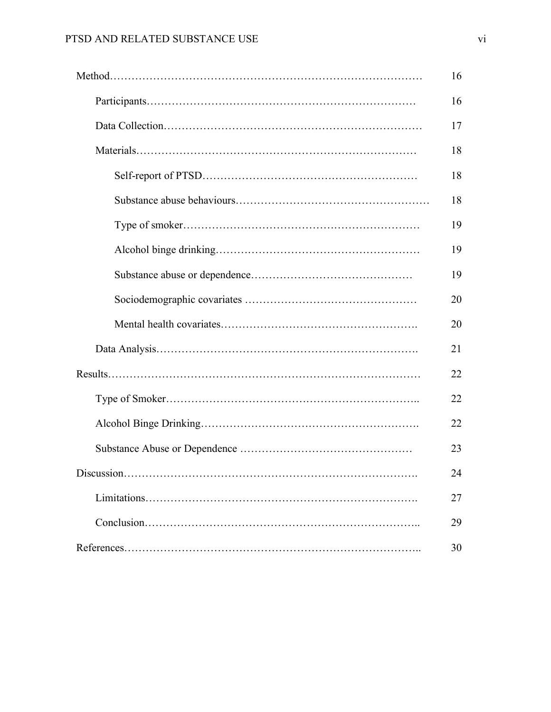|            | 16 |
|------------|----|
|            | 16 |
|            | 17 |
|            | 18 |
|            | 18 |
|            | 18 |
|            | 19 |
|            | 19 |
|            | 19 |
|            | 20 |
|            | 20 |
|            | 21 |
|            | 22 |
|            | 22 |
|            | 22 |
|            | 23 |
| Discussion | 24 |
|            | 27 |
|            | 29 |
|            | 30 |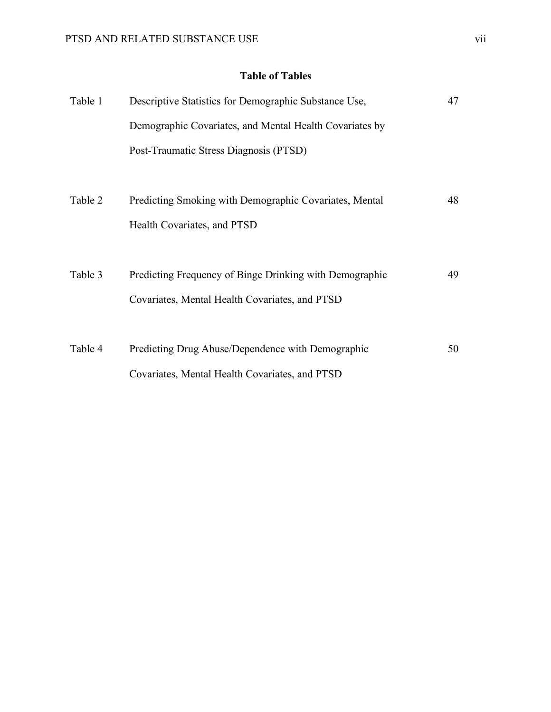# **Table of Tables**

| Table 1 | Descriptive Statistics for Demographic Substance Use,   | 47 |
|---------|---------------------------------------------------------|----|
|         | Demographic Covariates, and Mental Health Covariates by |    |
|         | Post-Traumatic Stress Diagnosis (PTSD)                  |    |
|         |                                                         |    |
| Table 2 | Predicting Smoking with Demographic Covariates, Mental  | 48 |
|         | Health Covariates, and PTSD                             |    |
|         |                                                         |    |
| Table 3 | Predicting Frequency of Binge Drinking with Demographic | 49 |
|         | Covariates, Mental Health Covariates, and PTSD          |    |
|         |                                                         |    |
| Table 4 | Predicting Drug Abuse/Dependence with Demographic       | 50 |
|         | Covariates, Mental Health Covariates, and PTSD          |    |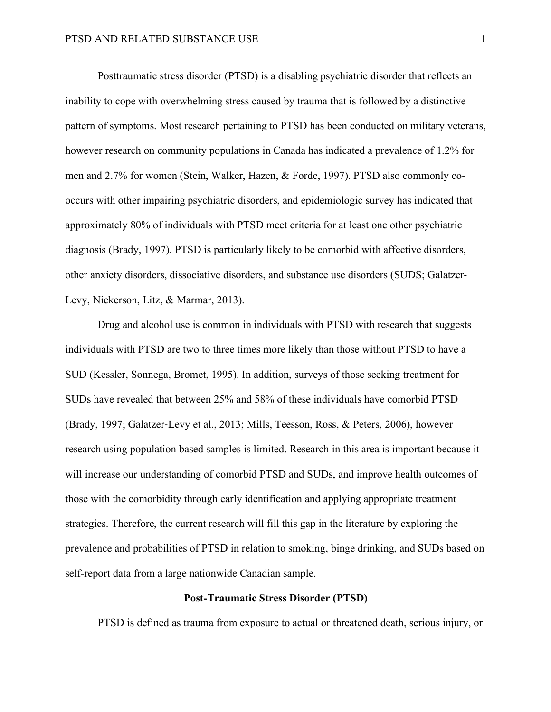Posttraumatic stress disorder (PTSD) is a disabling psychiatric disorder that reflects an inability to cope with overwhelming stress caused by trauma that is followed by a distinctive pattern of symptoms. Most research pertaining to PTSD has been conducted on military veterans, however research on community populations in Canada has indicated a prevalence of 1.2% for men and 2.7% for women (Stein, Walker, Hazen, & Forde, 1997). PTSD also commonly cooccurs with other impairing psychiatric disorders, and epidemiologic survey has indicated that approximately 80% of individuals with PTSD meet criteria for at least one other psychiatric diagnosis (Brady, 1997). PTSD is particularly likely to be comorbid with affective disorders, other anxiety disorders, dissociative disorders, and substance use disorders (SUDS; Galatzer-Levy, Nickerson, Litz, & Marmar, 2013).

Drug and alcohol use is common in individuals with PTSD with research that suggests individuals with PTSD are two to three times more likely than those without PTSD to have a SUD (Kessler, Sonnega, Bromet, 1995). In addition, surveys of those seeking treatment for SUDs have revealed that between 25% and 58% of these individuals have comorbid PTSD (Brady, 1997; Galatzer-Levy et al., 2013; Mills, Teesson, Ross, & Peters, 2006), however research using population based samples is limited. Research in this area is important because it will increase our understanding of comorbid PTSD and SUDs, and improve health outcomes of those with the comorbidity through early identification and applying appropriate treatment strategies. Therefore, the current research will fill this gap in the literature by exploring the prevalence and probabilities of PTSD in relation to smoking, binge drinking, and SUDs based on self-report data from a large nationwide Canadian sample.

#### **Post-Traumatic Stress Disorder (PTSD)**

PTSD is defined as trauma from exposure to actual or threatened death, serious injury, or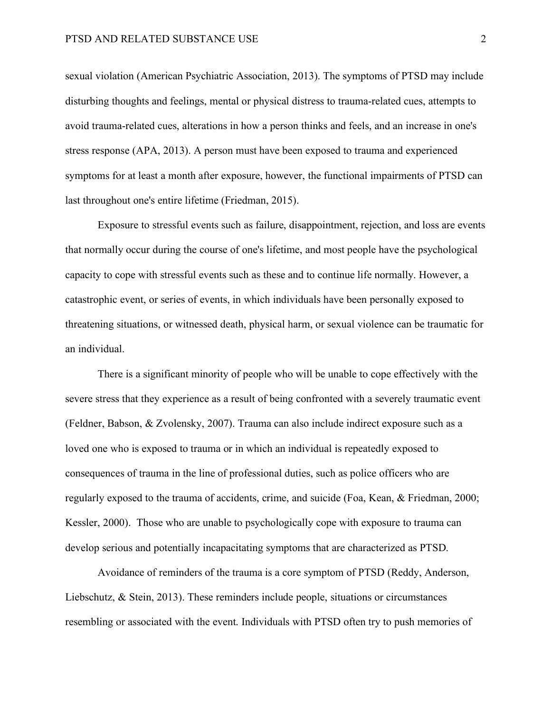sexual violation (American Psychiatric Association, 2013). The symptoms of PTSD may include disturbing thoughts and feelings, mental or physical distress to trauma-related cues, attempts to avoid trauma-related cues, alterations in how a person thinks and feels, and an increase in one's stress response (APA, 2013). A person must have been exposed to trauma and experienced symptoms for at least a month after exposure, however, the functional impairments of PTSD can last throughout one's entire lifetime (Friedman, 2015).

Exposure to stressful events such as failure, disappointment, rejection, and loss are events that normally occur during the course of one's lifetime, and most people have the psychological capacity to cope with stressful events such as these and to continue life normally. However, a catastrophic event, or series of events, in which individuals have been personally exposed to threatening situations, or witnessed death, physical harm, or sexual violence can be traumatic for an individual.

There is a significant minority of people who will be unable to cope effectively with the severe stress that they experience as a result of being confronted with a severely traumatic event (Feldner, Babson, & Zvolensky, 2007). Trauma can also include indirect exposure such as a loved one who is exposed to trauma or in which an individual is repeatedly exposed to consequences of trauma in the line of professional duties, such as police officers who are regularly exposed to the trauma of accidents, crime, and suicide (Foa, Kean, & Friedman, 2000; Kessler, 2000). Those who are unable to psychologically cope with exposure to trauma can develop serious and potentially incapacitating symptoms that are characterized as PTSD.

Avoidance of reminders of the trauma is a core symptom of PTSD (Reddy, Anderson, Liebschutz, & Stein, 2013). These reminders include people, situations or circumstances resembling or associated with the event. Individuals with PTSD often try to push memories of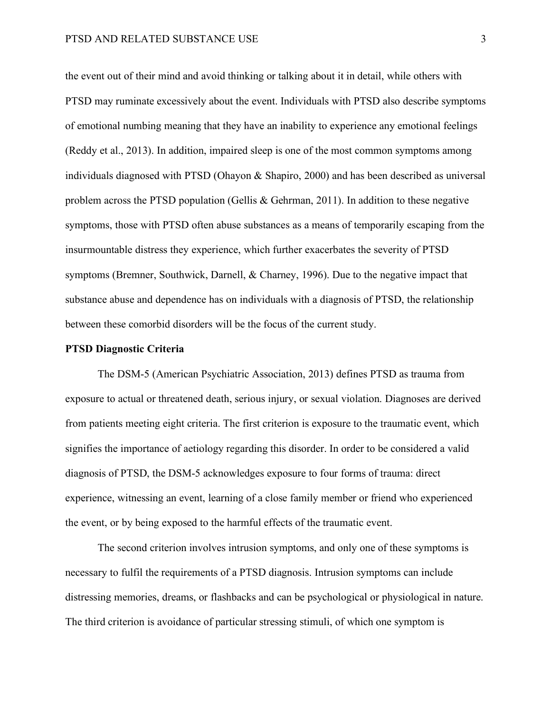the event out of their mind and avoid thinking or talking about it in detail, while others with PTSD may ruminate excessively about the event. Individuals with PTSD also describe symptoms of emotional numbing meaning that they have an inability to experience any emotional feelings (Reddy et al., 2013). In addition, impaired sleep is one of the most common symptoms among individuals diagnosed with PTSD (Ohayon & Shapiro, 2000) and has been described as universal problem across the PTSD population (Gellis & Gehrman, 2011). In addition to these negative symptoms, those with PTSD often abuse substances as a means of temporarily escaping from the insurmountable distress they experience, which further exacerbates the severity of PTSD symptoms (Bremner, Southwick, Darnell, & Charney, 1996). Due to the negative impact that substance abuse and dependence has on individuals with a diagnosis of PTSD, the relationship between these comorbid disorders will be the focus of the current study.

#### **PTSD Diagnostic Criteria**

The DSM-5 (American Psychiatric Association, 2013) defines PTSD as trauma from exposure to actual or threatened death, serious injury, or sexual violation. Diagnoses are derived from patients meeting eight criteria. The first criterion is exposure to the traumatic event, which signifies the importance of aetiology regarding this disorder. In order to be considered a valid diagnosis of PTSD, the DSM-5 acknowledges exposure to four forms of trauma: direct experience, witnessing an event, learning of a close family member or friend who experienced the event, or by being exposed to the harmful effects of the traumatic event.

The second criterion involves intrusion symptoms, and only one of these symptoms is necessary to fulfil the requirements of a PTSD diagnosis. Intrusion symptoms can include distressing memories, dreams, or flashbacks and can be psychological or physiological in nature. The third criterion is avoidance of particular stressing stimuli, of which one symptom is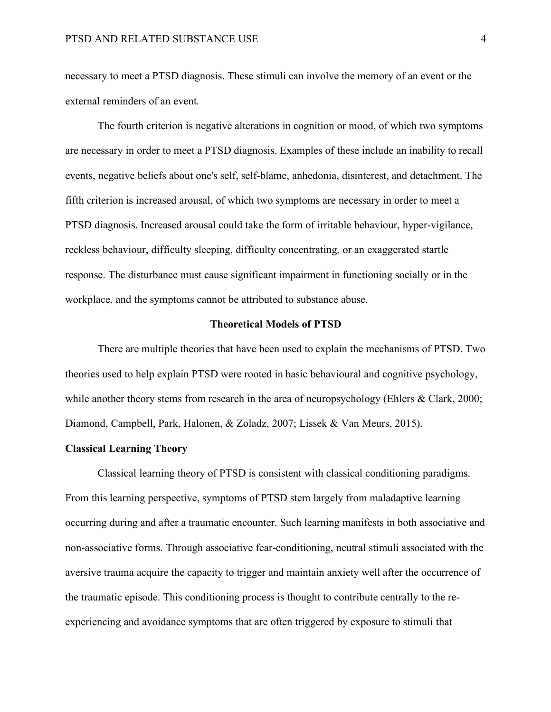necessary to meet a PTSD diagnosis. These stimuli can involve the memory of an event or the external reminders of an event.

The fourth criterion is negative alterations in cognition or mood, of which two symptoms are necessary in order to meet a PTSD diagnosis. Examples of these include an inability to recall events, negative beliefs about one's self, self-blame, anhedonia, disinterest, and detachment. The fifth criterion is increased arousal, of which two symptoms are necessary in order to meet a PTSD diagnosis. Increased arousal could take the form of irritable behaviour, hyper-vigilance, reckless behaviour, difficulty sleeping, difficulty concentrating, or an exaggerated startle response. The disturbance must cause significant impairment in functioning socially or in the workplace, and the symptoms cannot be attributed to substance abuse.

#### **Theoretical Models of PTSD**

There are multiple theories that have been used to explain the mechanisms of PTSD. Two theories used to help explain PTSD were rooted in basic behavioural and cognitive psychology, while another theory stems from research in the area of neuropsychology (Ehlers & Clark, 2000; Diamond, Campbell, Park, Halonen, & Zoladz, 2007; Lissek & Van Meurs, 2015).

## **Classical Learning Theory**

Classical learning theory of PTSD is consistent with classical conditioning paradigms. From this learning perspective, symptoms of PTSD stem largely from maladaptive learning occurring during and after a traumatic encounter. Such learning manifests in both associative and non-associative forms. Through associative fear-conditioning, neutral stimuli associated with the aversive trauma acquire the capacity to trigger and maintain anxiety well after the occurrence of the traumatic episode. This conditioning process is thought to contribute centrally to the reexperiencing and avoidance symptoms that are often triggered by exposure to stimuli that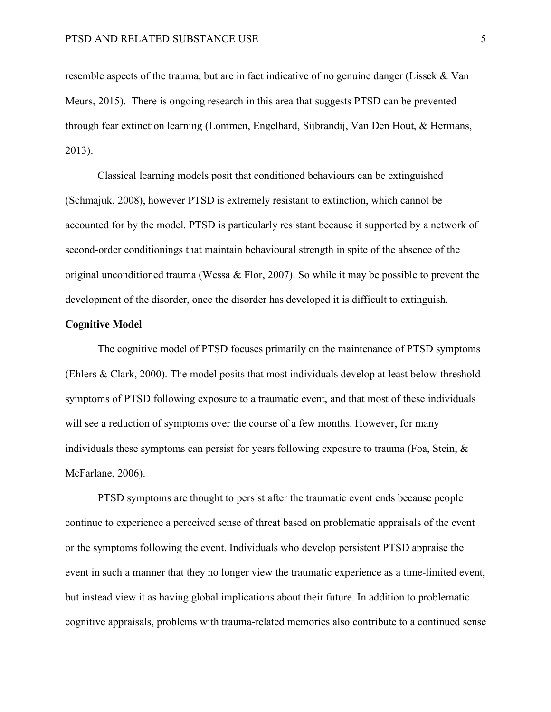resemble aspects of the trauma, but are in fact indicative of no genuine danger (Lissek & Van Meurs, 2015). There is ongoing research in this area that suggests PTSD can be prevented through fear extinction learning (Lommen, Engelhard, Sijbrandij, Van Den Hout, & Hermans, 2013).

Classical learning models posit that conditioned behaviours can be extinguished (Schmajuk, 2008), however PTSD is extremely resistant to extinction, which cannot be accounted for by the model. PTSD is particularly resistant because it supported by a network of second-order conditionings that maintain behavioural strength in spite of the absence of the original unconditioned trauma (Wessa & Flor, 2007). So while it may be possible to prevent the development of the disorder, once the disorder has developed it is difficult to extinguish.

## **Cognitive Model**

The cognitive model of PTSD focuses primarily on the maintenance of PTSD symptoms (Ehlers & Clark, 2000). The model posits that most individuals develop at least below-threshold symptoms of PTSD following exposure to a traumatic event, and that most of these individuals will see a reduction of symptoms over the course of a few months. However, for many individuals these symptoms can persist for years following exposure to trauma (Foa, Stein,  $\&$ McFarlane, 2006).

PTSD symptoms are thought to persist after the traumatic event ends because people continue to experience a perceived sense of threat based on problematic appraisals of the event or the symptoms following the event. Individuals who develop persistent PTSD appraise the event in such a manner that they no longer view the traumatic experience as a time-limited event, but instead view it as having global implications about their future. In addition to problematic cognitive appraisals, problems with trauma-related memories also contribute to a continued sense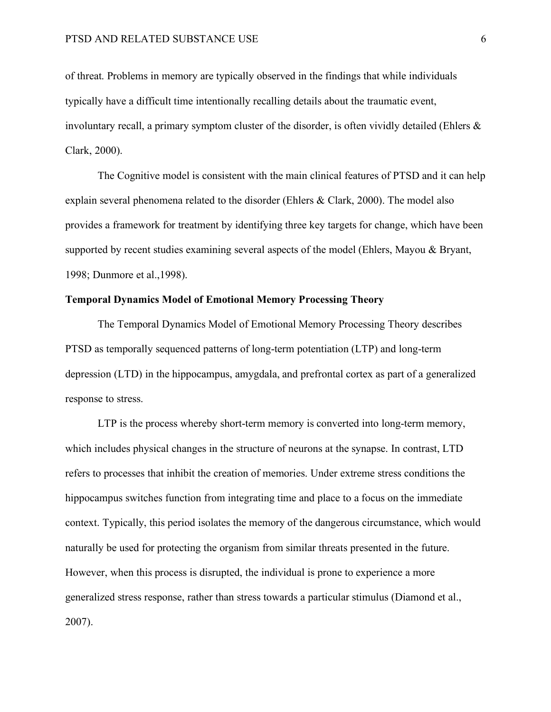of threat. Problems in memory are typically observed in the findings that while individuals typically have a difficult time intentionally recalling details about the traumatic event, involuntary recall, a primary symptom cluster of the disorder, is often vividly detailed (Ehlers  $\&$ Clark, 2000).

The Cognitive model is consistent with the main clinical features of PTSD and it can help explain several phenomena related to the disorder (Ehlers & Clark, 2000). The model also provides a framework for treatment by identifying three key targets for change, which have been supported by recent studies examining several aspects of the model (Ehlers, Mayou & Bryant, 1998; Dunmore et al.,1998).

## **Temporal Dynamics Model of Emotional Memory Processing Theory**

The Temporal Dynamics Model of Emotional Memory Processing Theory describes PTSD as temporally sequenced patterns of long-term potentiation (LTP) and long-term depression (LTD) in the hippocampus, amygdala, and prefrontal cortex as part of a generalized response to stress.

LTP is the process whereby short-term memory is converted into long-term memory, which includes physical changes in the structure of neurons at the synapse. In contrast, LTD refers to processes that inhibit the creation of memories. Under extreme stress conditions the hippocampus switches function from integrating time and place to a focus on the immediate context. Typically, this period isolates the memory of the dangerous circumstance, which would naturally be used for protecting the organism from similar threats presented in the future. However, when this process is disrupted, the individual is prone to experience a more generalized stress response, rather than stress towards a particular stimulus (Diamond et al., 2007).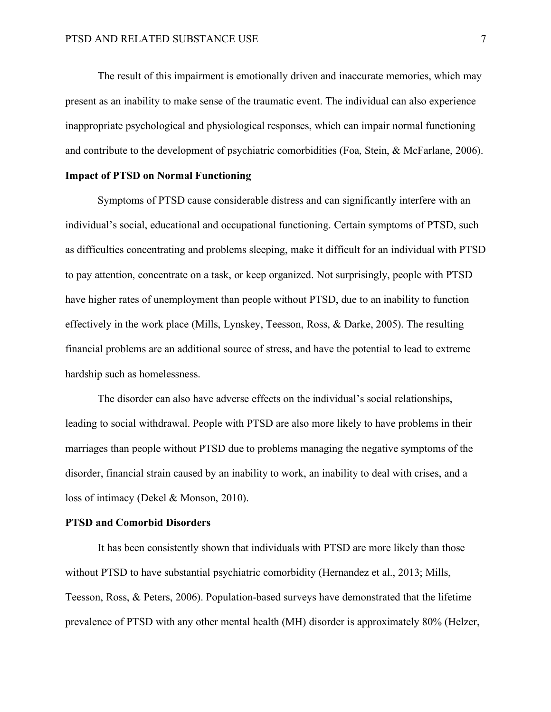The result of this impairment is emotionally driven and inaccurate memories, which may present as an inability to make sense of the traumatic event. The individual can also experience inappropriate psychological and physiological responses, which can impair normal functioning and contribute to the development of psychiatric comorbidities (Foa, Stein, & McFarlane, 2006).

## **Impact of PTSD on Normal Functioning**

Symptoms of PTSD cause considerable distress and can significantly interfere with an individual's social, educational and occupational functioning. Certain symptoms of PTSD, such as difficulties concentrating and problems sleeping, make it difficult for an individual with PTSD to pay attention, concentrate on a task, or keep organized. Not surprisingly, people with PTSD have higher rates of unemployment than people without PTSD, due to an inability to function effectively in the work place (Mills, Lynskey, Teesson, Ross, & Darke, 2005). The resulting financial problems are an additional source of stress, and have the potential to lead to extreme hardship such as homelessness.

The disorder can also have adverse effects on the individual's social relationships, leading to social withdrawal. People with PTSD are also more likely to have problems in their marriages than people without PTSD due to problems managing the negative symptoms of the disorder, financial strain caused by an inability to work, an inability to deal with crises, and a loss of intimacy (Dekel & Monson, 2010).

## **PTSD and Comorbid Disorders**

It has been consistently shown that individuals with PTSD are more likely than those without PTSD to have substantial psychiatric comorbidity (Hernandez et al., 2013; Mills, Teesson, Ross, & Peters, 2006). Population-based surveys have demonstrated that the lifetime prevalence of PTSD with any other mental health (MH) disorder is approximately 80% (Helzer,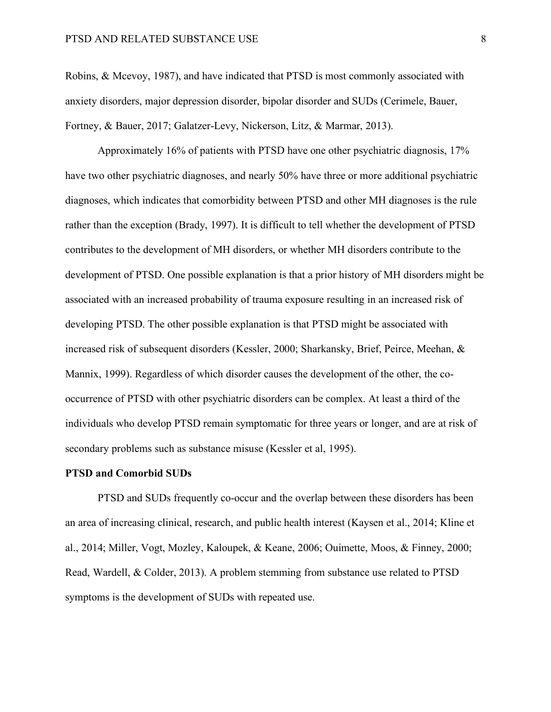Robins, & Mcevoy, 1987), and have indicated that PTSD is most commonly associated with anxiety disorders, major depression disorder, bipolar disorder and SUDs (Cerimele, Bauer, Fortney, & Bauer, 2017; Galatzer-Levy, Nickerson, Litz, & Marmar, 2013).

Approximately 16% of patients with PTSD have one other psychiatric diagnosis, 17% have two other psychiatric diagnoses, and nearly 50% have three or more additional psychiatric diagnoses, which indicates that comorbidity between PTSD and other MH diagnoses is the rule rather than the exception (Brady, 1997). It is difficult to tell whether the development of PTSD contributes to the development of MH disorders, or whether MH disorders contribute to the development of PTSD. One possible explanation is that a prior history of MH disorders might be associated with an increased probability of trauma exposure resulting in an increased risk of developing PTSD. The other possible explanation is that PTSD might be associated with increased risk of subsequent disorders (Kessler, 2000; Sharkansky, Brief, Peirce, Meehan, & Mannix, 1999). Regardless of which disorder causes the development of the other, the cooccurrence of PTSD with other psychiatric disorders can be complex. At least a third of the individuals who develop PTSD remain symptomatic for three years or longer, and are at risk of secondary problems such as substance misuse (Kessler et al, 1995).

#### **PTSD and Comorbid SUDs**

PTSD and SUDs frequently co-occur and the overlap between these disorders has been an area of increasing clinical, research, and public health interest (Kaysen et al., 2014; Kline et al., 2014; Miller, Vogt, Mozley, Kaloupek, & Keane, 2006; Ouimette, Moos, & Finney, 2000; Read, Wardell, & Colder, 2013). A problem stemming from substance use related to PTSD symptoms is the development of SUDs with repeated use.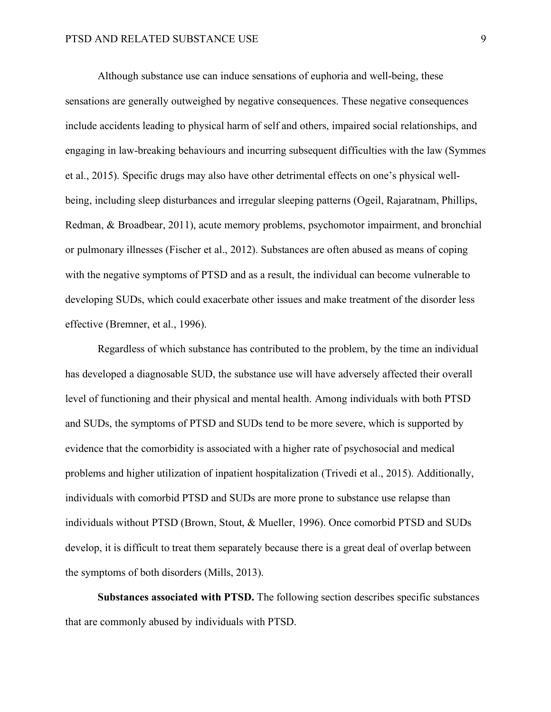Although substance use can induce sensations of euphoria and well-being, these sensations are generally outweighed by negative consequences. These negative consequences include accidents leading to physical harm of self and others, impaired social relationships, and engaging in law-breaking behaviours and incurring subsequent difficulties with the law (Symmes et al., 2015). Specific drugs may also have other detrimental effects on one's physical wellbeing, including sleep disturbances and irregular sleeping patterns (Ogeil, Rajaratnam, Phillips, Redman, & Broadbear, 2011), acute memory problems, psychomotor impairment, and bronchial or pulmonary illnesses (Fischer et al., 2012). Substances are often abused as means of coping with the negative symptoms of PTSD and as a result, the individual can become vulnerable to developing SUDs, which could exacerbate other issues and make treatment of the disorder less effective (Bremner, et al., 1996).

Regardless of which substance has contributed to the problem, by the time an individual has developed a diagnosable SUD, the substance use will have adversely affected their overall level of functioning and their physical and mental health. Among individuals with both PTSD and SUDs, the symptoms of PTSD and SUDs tend to be more severe, which is supported by evidence that the comorbidity is associated with a higher rate of psychosocial and medical problems and higher utilization of inpatient hospitalization (Trivedi et al., 2015). Additionally, individuals with comorbid PTSD and SUDs are more prone to substance use relapse than individuals without PTSD (Brown, Stout, & Mueller, 1996). Once comorbid PTSD and SUDs develop, it is difficult to treat them separately because there is a great deal of overlap between the symptoms of both disorders (Mills, 2013).

**Substances associated with PTSD.** The following section describes specific substances that are commonly abused by individuals with PTSD.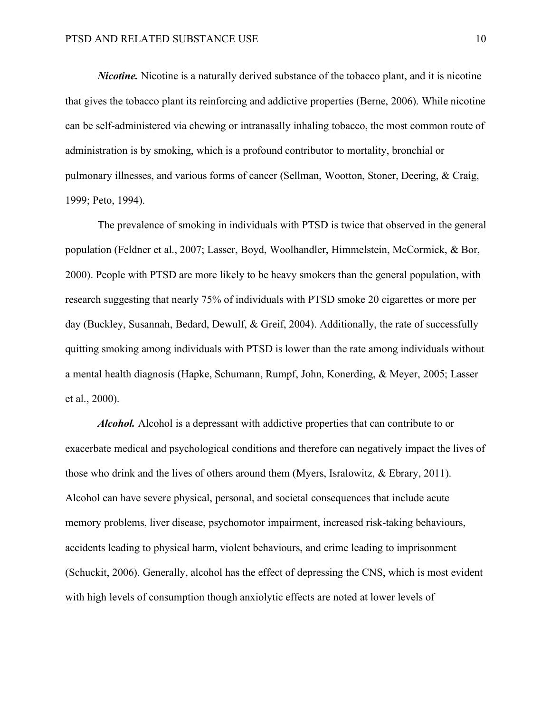*Nicotine.* Nicotine is a naturally derived substance of the tobacco plant, and it is nicotine that gives the tobacco plant its reinforcing and addictive properties (Berne, 2006). While nicotine can be self-administered via chewing or intranasally inhaling tobacco, the most common route of administration is by smoking, which is a profound contributor to mortality, bronchial or pulmonary illnesses, and various forms of cancer (Sellman, Wootton, Stoner, Deering, & Craig, 1999; Peto, 1994).

The prevalence of smoking in individuals with PTSD is twice that observed in the general population (Feldner et al., 2007; Lasser, Boyd, Woolhandler, Himmelstein, McCormick, & Bor, 2000). People with PTSD are more likely to be heavy smokers than the general population, with research suggesting that nearly 75% of individuals with PTSD smoke 20 cigarettes or more per day (Buckley, Susannah, Bedard, Dewulf, & Greif, 2004). Additionally, the rate of successfully quitting smoking among individuals with PTSD is lower than the rate among individuals without a mental health diagnosis (Hapke, Schumann, Rumpf, John, Konerding, & Meyer, 2005; Lasser et al., 2000).

*Alcohol.* Alcohol is a depressant with addictive properties that can contribute to or exacerbate medical and psychological conditions and therefore can negatively impact the lives of those who drink and the lives of others around them (Myers, Isralowitz, & Ebrary, 2011). Alcohol can have severe physical, personal, and societal consequences that include acute memory problems, liver disease, psychomotor impairment, increased risk-taking behaviours, accidents leading to physical harm, violent behaviours, and crime leading to imprisonment (Schuckit, 2006). Generally, alcohol has the effect of depressing the CNS, which is most evident with high levels of consumption though anxiolytic effects are noted at lower levels of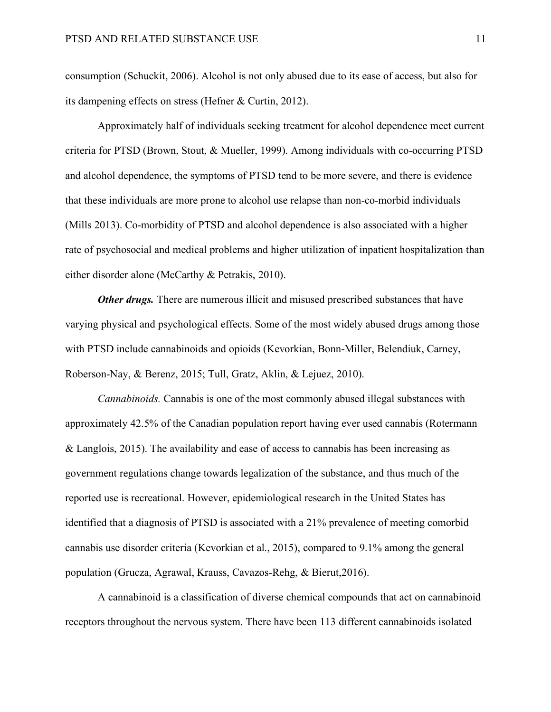consumption (Schuckit, 2006). Alcohol is not only abused due to its ease of access, but also for its dampening effects on stress (Hefner & Curtin, 2012).

Approximately half of individuals seeking treatment for alcohol dependence meet current criteria for PTSD (Brown, Stout, & Mueller, 1999). Among individuals with co-occurring PTSD and alcohol dependence, the symptoms of PTSD tend to be more severe, and there is evidence that these individuals are more prone to alcohol use relapse than non-co-morbid individuals (Mills 2013). Co-morbidity of PTSD and alcohol dependence is also associated with a higher rate of psychosocial and medical problems and higher utilization of inpatient hospitalization than either disorder alone (McCarthy & Petrakis, 2010).

*Other drugs.* There are numerous illicit and misused prescribed substances that have varying physical and psychological effects. Some of the most widely abused drugs among those with PTSD include cannabinoids and opioids (Kevorkian, Bonn-Miller, Belendiuk, Carney, Roberson-Nay, & Berenz, 2015; Tull, Gratz, Aklin, & Lejuez, 2010).

*Cannabinoids.* Cannabis is one of the most commonly abused illegal substances with approximately 42.5% of the Canadian population report having ever used cannabis (Rotermann & Langlois, 2015). The availability and ease of access to cannabis has been increasing as government regulations change towards legalization of the substance, and thus much of the reported use is recreational. However, epidemiological research in the United States has identified that a diagnosis of PTSD is associated with a 21% prevalence of meeting comorbid cannabis use disorder criteria (Kevorkian et al., 2015), compared to 9.1% among the general population (Grucza, Agrawal, Krauss, Cavazos-Rehg, & Bierut,2016).

A cannabinoid is a classification of diverse chemical compounds that act on cannabinoid receptors throughout the nervous system. There have been 113 different cannabinoids isolated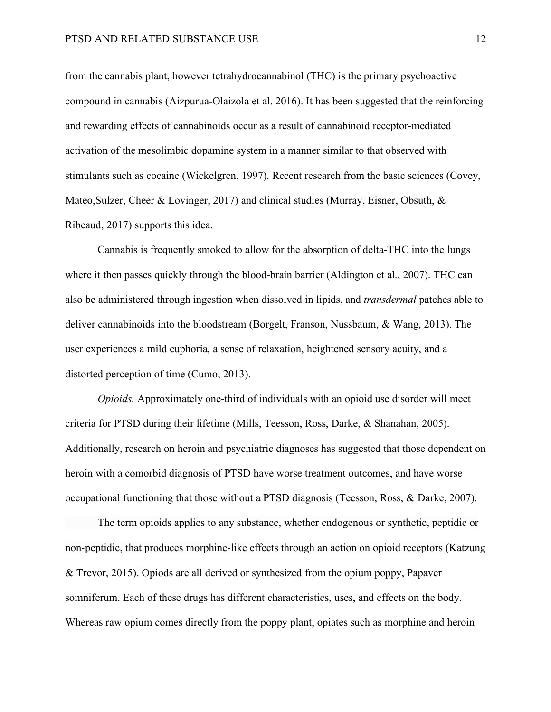from the cannabis plant, however tetrahydrocannabinol (THC) is the primary psychoactive compound in cannabis (Aizpurua-Olaizola et al. 2016). It has been suggested that the reinforcing and rewarding effects of cannabinoids occur as a result of cannabinoid receptor-mediated activation of the mesolimbic dopamine system in a manner similar to that observed with stimulants such as cocaine (Wickelgren, 1997). Recent research from the basic sciences (Covey, Mateo, Sulzer, Cheer & Lovinger, 2017) and clinical studies (Murray, Eisner, Obsuth, & Ribeaud, 2017) supports this idea.

Cannabis is frequently smoked to allow for the absorption of delta-THC into the lungs where it then passes quickly through the blood-brain barrier (Aldington et al., 2007). THC can also be administered through ingestion when dissolved in lipids, and *transdermal* patches able to deliver cannabinoids into the bloodstream (Borgelt, Franson, Nussbaum, & Wang, 2013). The user experiences a mild euphoria, a sense of relaxation, heightened sensory acuity, and a distorted perception of time (Cumo, 2013).

*Opioids.* Approximately one-third of individuals with an opioid use disorder will meet criteria for PTSD during their lifetime (Mills, Teesson, Ross, Darke, & Shanahan, 2005). Additionally, research on heroin and psychiatric diagnoses has suggested that those dependent on heroin with a comorbid diagnosis of PTSD have worse treatment outcomes, and have worse occupational functioning that those without a PTSD diagnosis (Teesson, Ross, & Darke, 2007).

The term opioids applies to any substance, whether endogenous or synthetic, peptidic or non-peptidic, that produces morphine-like effects through an action on opioid receptors (Katzung & Trevor, 2015). Opiods are all derived or synthesized from the opium poppy, Papaver somniferum. Each of these drugs has different characteristics, uses, and effects on the body. Whereas raw opium comes directly from the poppy plant, opiates such as morphine and heroin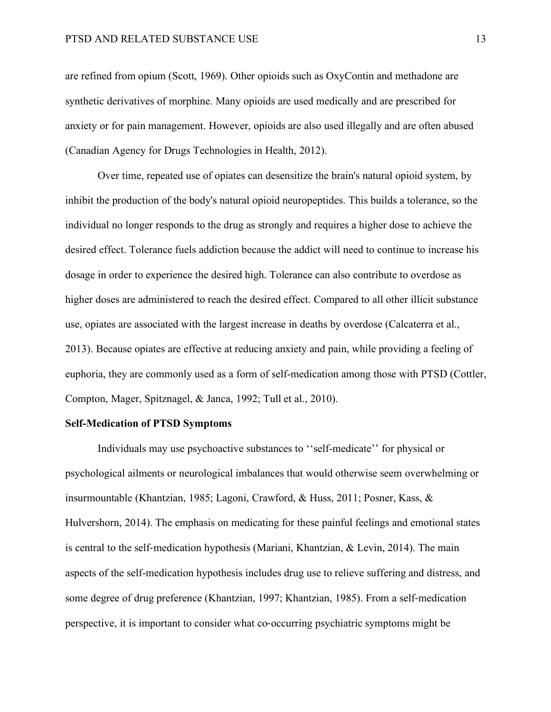are refined from opium (Scott, 1969). Other opioids such as OxyContin and methadone are synthetic derivatives of morphine. Many opioids are used medically and are prescribed for anxiety or for pain management. However, opioids are also used illegally and are often abused (Canadian Agency for Drugs Technologies in Health, 2012).

Over time, repeated use of opiates can desensitize the brain's natural opioid system, by inhibit the production of the body's natural opioid neuropeptides. This builds a tolerance, so the individual no longer responds to the drug as strongly and requires a higher dose to achieve the desired effect. Tolerance fuels addiction because the addict will need to continue to increase his dosage in order to experience the desired high. Tolerance can also contribute to overdose as higher doses are administered to reach the desired effect. Compared to all other illicit substance use, opiates are associated with the largest increase in deaths by overdose (Calcaterra et al., 2013). Because opiates are effective at reducing anxiety and pain, while providing a feeling of euphoria, they are commonly used as a form of self-medication among those with PTSD (Cottler, Compton, Mager, Spitznagel, & Janca, 1992; Tull et al., 2010).

## **Self-Medication of PTSD Symptoms**

Individuals may use psychoactive substances to ''self-medicate'' for physical or psychological ailments or neurological imbalances that would otherwise seem overwhelming or insurmountable (Khantzian, 1985; Lagoni, Crawford, & Huss, 2011; Posner, Kass, & Hulvershorn, 2014). The emphasis on medicating for these painful feelings and emotional states is central to the self-medication hypothesis (Mariani, Khantzian, & Levin, 2014). The main aspects of the self-medication hypothesis includes drug use to relieve suffering and distress, and some degree of drug preference (Khantzian, 1997; Khantzian, 1985). From a self-medication perspective, it is important to consider what co-occurring psychiatric symptoms might be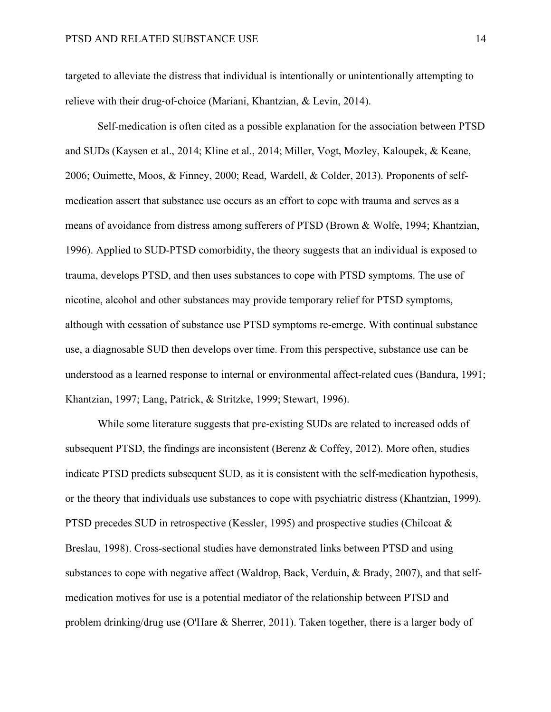targeted to alleviate the distress that individual is intentionally or unintentionally attempting to relieve with their drug-of-choice (Mariani, Khantzian, & Levin, 2014).

Self-medication is often cited as a possible explanation for the association between PTSD and SUDs (Kaysen et al., 2014; Kline et al., 2014; Miller, Vogt, Mozley, Kaloupek, & Keane, 2006; Ouimette, Moos, & Finney, 2000; Read, Wardell, & Colder, 2013). Proponents of selfmedication assert that substance use occurs as an effort to cope with trauma and serves as a means of avoidance from distress among sufferers of PTSD (Brown & Wolfe, 1994; Khantzian, 1996). Applied to SUD-PTSD comorbidity, the theory suggests that an individual is exposed to trauma, develops PTSD, and then uses substances to cope with PTSD symptoms. The use of nicotine, alcohol and other substances may provide temporary relief for PTSD symptoms, although with cessation of substance use PTSD symptoms re-emerge. With continual substance use, a diagnosable SUD then develops over time. From this perspective, substance use can be understood as a learned response to internal or environmental affect-related cues (Bandura, 1991; Khantzian, 1997; Lang, Patrick, & Stritzke, 1999; Stewart, 1996).

While some literature suggests that pre-existing SUDs are related to increased odds of subsequent PTSD, the findings are inconsistent (Berenz & Coffey, 2012). More often, studies indicate PTSD predicts subsequent SUD, as it is consistent with the self-medication hypothesis, or the theory that individuals use substances to cope with psychiatric distress (Khantzian, 1999). PTSD precedes SUD in retrospective (Kessler, 1995) and prospective studies (Chilcoat & Breslau, 1998). Cross-sectional studies have demonstrated links between PTSD and using substances to cope with negative affect (Waldrop, Back, Verduin, & Brady, 2007), and that selfmedication motives for use is a potential mediator of the relationship between PTSD and problem drinking/drug use (O'Hare & Sherrer, 2011). Taken together, there is a larger body of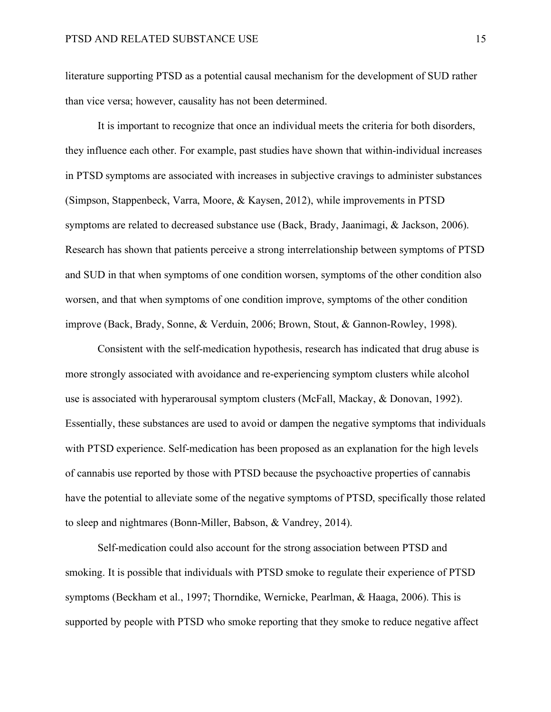literature supporting PTSD as a potential causal mechanism for the development of SUD rather than vice versa; however, causality has not been determined.

It is important to recognize that once an individual meets the criteria for both disorders, they influence each other. For example, past studies have shown that within-individual increases in PTSD symptoms are associated with increases in subjective cravings to administer substances (Simpson, Stappenbeck, Varra, Moore, & Kaysen, 2012), while improvements in PTSD symptoms are related to decreased substance use (Back, Brady, Jaanimagi, & Jackson, 2006). Research has shown that patients perceive a strong interrelationship between symptoms of PTSD and SUD in that when symptoms of one condition worsen, symptoms of the other condition also worsen, and that when symptoms of one condition improve, symptoms of the other condition improve (Back, Brady, Sonne, & Verduin, 2006; Brown, Stout, & Gannon-Rowley, 1998).

Consistent with the self-medication hypothesis, research has indicated that drug abuse is more strongly associated with avoidance and re-experiencing symptom clusters while alcohol use is associated with hyperarousal symptom clusters (McFall, Mackay, & Donovan, 1992). Essentially, these substances are used to avoid or dampen the negative symptoms that individuals with PTSD experience. Self-medication has been proposed as an explanation for the high levels of cannabis use reported by those with PTSD because the psychoactive properties of cannabis have the potential to alleviate some of the negative symptoms of PTSD, specifically those related to sleep and nightmares (Bonn-Miller, Babson, & Vandrey, 2014).

Self-medication could also account for the strong association between PTSD and smoking. It is possible that individuals with PTSD smoke to regulate their experience of PTSD symptoms (Beckham et al., 1997; Thorndike, Wernicke, Pearlman, & Haaga, 2006). This is supported by people with PTSD who smoke reporting that they smoke to reduce negative affect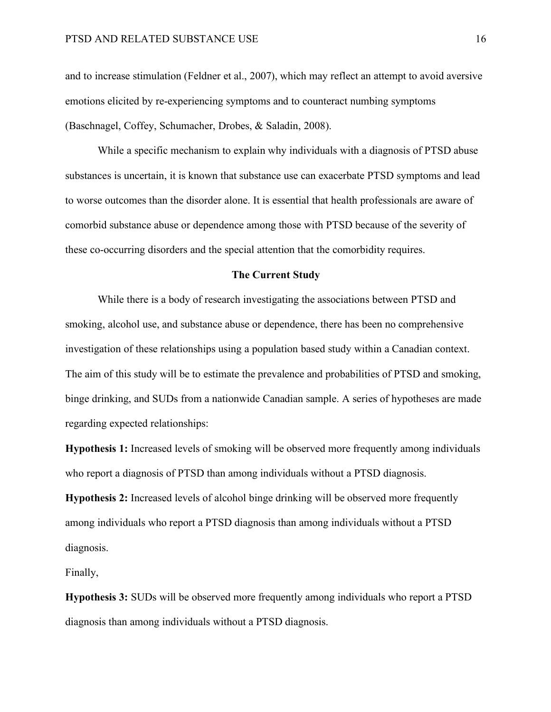and to increase stimulation (Feldner et al., 2007), which may reflect an attempt to avoid aversive emotions elicited by re-experiencing symptoms and to counteract numbing symptoms (Baschnagel, Coffey, Schumacher, Drobes, & Saladin, 2008).

While a specific mechanism to explain why individuals with a diagnosis of PTSD abuse substances is uncertain, it is known that substance use can exacerbate PTSD symptoms and lead to worse outcomes than the disorder alone. It is essential that health professionals are aware of comorbid substance abuse or dependence among those with PTSD because of the severity of these co-occurring disorders and the special attention that the comorbidity requires.

#### **The Current Study**

While there is a body of research investigating the associations between PTSD and smoking, alcohol use, and substance abuse or dependence, there has been no comprehensive investigation of these relationships using a population based study within a Canadian context. The aim of this study will be to estimate the prevalence and probabilities of PTSD and smoking, binge drinking, and SUDs from a nationwide Canadian sample. A series of hypotheses are made regarding expected relationships:

**Hypothesis 1:** Increased levels of smoking will be observed more frequently among individuals who report a diagnosis of PTSD than among individuals without a PTSD diagnosis.

**Hypothesis 2:** Increased levels of alcohol binge drinking will be observed more frequently among individuals who report a PTSD diagnosis than among individuals without a PTSD diagnosis.

Finally,

**Hypothesis 3:** SUDs will be observed more frequently among individuals who report a PTSD diagnosis than among individuals without a PTSD diagnosis.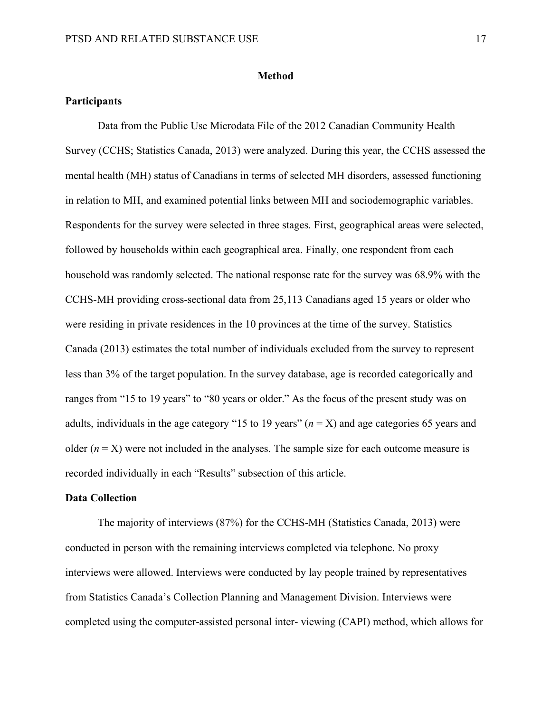#### **Method**

## **Participants**

Data from the Public Use Microdata File of the 2012 Canadian Community Health Survey (CCHS; Statistics Canada, 2013) were analyzed. During this year, the CCHS assessed the mental health (MH) status of Canadians in terms of selected MH disorders, assessed functioning in relation to MH, and examined potential links between MH and sociodemographic variables. Respondents for the survey were selected in three stages. First, geographical areas were selected, followed by households within each geographical area. Finally, one respondent from each household was randomly selected. The national response rate for the survey was 68.9% with the CCHS-MH providing cross-sectional data from 25,113 Canadians aged 15 years or older who were residing in private residences in the 10 provinces at the time of the survey. Statistics Canada (2013) estimates the total number of individuals excluded from the survey to represent less than 3% of the target population. In the survey database, age is recorded categorically and ranges from "15 to 19 years" to "80 years or older." As the focus of the present study was on adults, individuals in the age category "15 to 19 years"  $(n = X)$  and age categories 65 years and older  $(n = X)$  were not included in the analyses. The sample size for each outcome measure is recorded individually in each "Results" subsection of this article.

## **Data Collection**

The majority of interviews (87%) for the CCHS-MH (Statistics Canada, 2013) were conducted in person with the remaining interviews completed via telephone. No proxy interviews were allowed. Interviews were conducted by lay people trained by representatives from Statistics Canada's Collection Planning and Management Division. Interviews were completed using the computer-assisted personal inter- viewing (CAPI) method, which allows for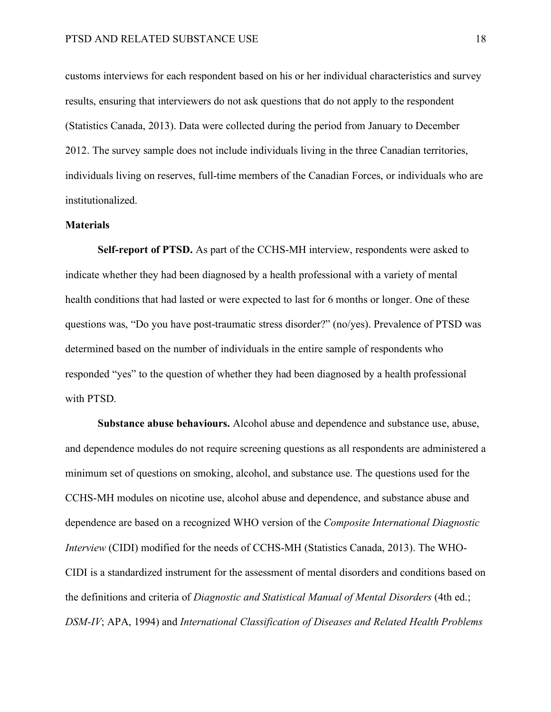customs interviews for each respondent based on his or her individual characteristics and survey results, ensuring that interviewers do not ask questions that do not apply to the respondent (Statistics Canada, 2013). Data were collected during the period from January to December 2012. The survey sample does not include individuals living in the three Canadian territories, individuals living on reserves, full-time members of the Canadian Forces, or individuals who are institutionalized.

#### **Materials**

**Self-report of PTSD.** As part of the CCHS-MH interview, respondents were asked to indicate whether they had been diagnosed by a health professional with a variety of mental health conditions that had lasted or were expected to last for 6 months or longer. One of these questions was, "Do you have post-traumatic stress disorder?" (no/yes). Prevalence of PTSD was determined based on the number of individuals in the entire sample of respondents who responded "yes" to the question of whether they had been diagnosed by a health professional with PTSD.

**Substance abuse behaviours.** Alcohol abuse and dependence and substance use, abuse, and dependence modules do not require screening questions as all respondents are administered a minimum set of questions on smoking, alcohol, and substance use. The questions used for the CCHS-MH modules on nicotine use, alcohol abuse and dependence, and substance abuse and dependence are based on a recognized WHO version of the *Composite International Diagnostic Interview* (CIDI) modified for the needs of CCHS-MH (Statistics Canada, 2013). The WHO-CIDI is a standardized instrument for the assessment of mental disorders and conditions based on the definitions and criteria of *Diagnostic and Statistical Manual of Mental Disorders* (4th ed.; *DSM-IV*; APA, 1994) and *International Classification of Diseases and Related Health Problems*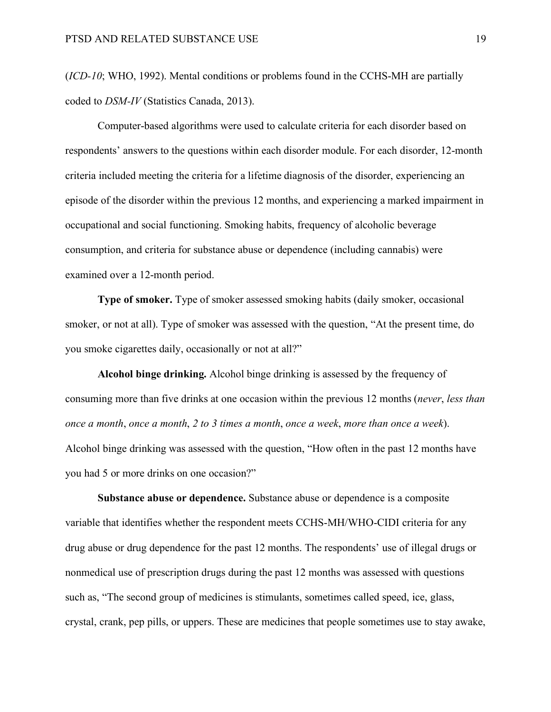(*ICD-10*; WHO, 1992). Mental conditions or problems found in the CCHS-MH are partially coded to *DSM-IV* (Statistics Canada, 2013).

Computer-based algorithms were used to calculate criteria for each disorder based on respondents' answers to the questions within each disorder module. For each disorder, 12-month criteria included meeting the criteria for a lifetime diagnosis of the disorder, experiencing an episode of the disorder within the previous 12 months, and experiencing a marked impairment in occupational and social functioning. Smoking habits, frequency of alcoholic beverage consumption, and criteria for substance abuse or dependence (including cannabis) were examined over a 12-month period.

**Type of smoker.** Type of smoker assessed smoking habits (daily smoker, occasional smoker, or not at all). Type of smoker was assessed with the question, "At the present time, do you smoke cigarettes daily, occasionally or not at all?"

**Alcohol binge drinking.** Alcohol binge drinking is assessed by the frequency of consuming more than five drinks at one occasion within the previous 12 months (*never*, *less than once a month*, *once a month*, *2 to 3 times a month*, *once a week*, *more than once a week*). Alcohol binge drinking was assessed with the question, "How often in the past 12 months have you had 5 or more drinks on one occasion?"

**Substance abuse or dependence.** Substance abuse or dependence is a composite variable that identifies whether the respondent meets CCHS-MH/WHO-CIDI criteria for any drug abuse or drug dependence for the past 12 months. The respondents' use of illegal drugs or nonmedical use of prescription drugs during the past 12 months was assessed with questions such as, "The second group of medicines is stimulants, sometimes called speed, ice, glass, crystal, crank, pep pills, or uppers. These are medicines that people sometimes use to stay awake,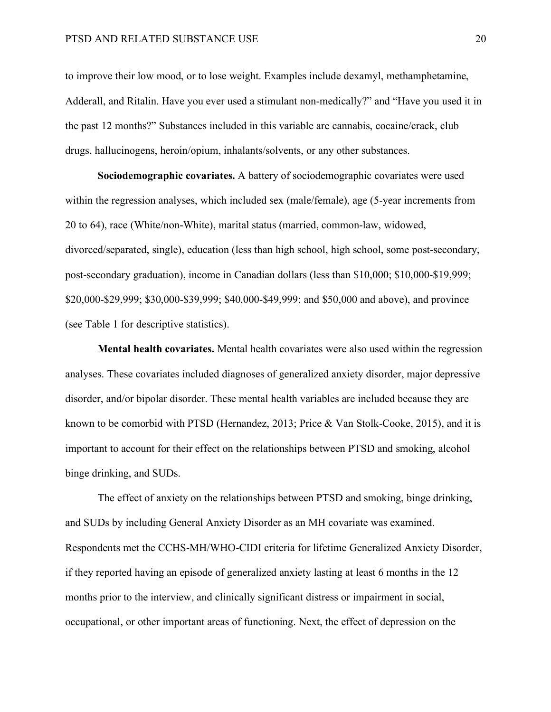to improve their low mood, or to lose weight. Examples include dexamyl, methamphetamine, Adderall, and Ritalin. Have you ever used a stimulant non-medically?" and "Have you used it in the past 12 months?" Substances included in this variable are cannabis, cocaine/crack, club drugs, hallucinogens, heroin/opium, inhalants/solvents, or any other substances.

**Sociodemographic covariates.** A battery of sociodemographic covariates were used within the regression analyses, which included sex (male/female), age (5-year increments from 20 to 64), race (White/non-White), marital status (married, common-law, widowed, divorced/separated, single), education (less than high school, high school, some post-secondary, post-secondary graduation), income in Canadian dollars (less than \$10,000; \$10,000-\$19,999; \$20,000-\$29,999; \$30,000-\$39,999; \$40,000-\$49,999; and \$50,000 and above), and province (see Table 1 for descriptive statistics).

**Mental health covariates.** Mental health covariates were also used within the regression analyses. These covariates included diagnoses of generalized anxiety disorder, major depressive disorder, and/or bipolar disorder. These mental health variables are included because they are known to be comorbid with PTSD (Hernandez, 2013; Price & Van Stolk-Cooke, 2015), and it is important to account for their effect on the relationships between PTSD and smoking, alcohol binge drinking, and SUDs.

The effect of anxiety on the relationships between PTSD and smoking, binge drinking, and SUDs by including General Anxiety Disorder as an MH covariate was examined. Respondents met the CCHS-MH/WHO-CIDI criteria for lifetime Generalized Anxiety Disorder, if they reported having an episode of generalized anxiety lasting at least 6 months in the 12 months prior to the interview, and clinically significant distress or impairment in social, occupational, or other important areas of functioning. Next, the effect of depression on the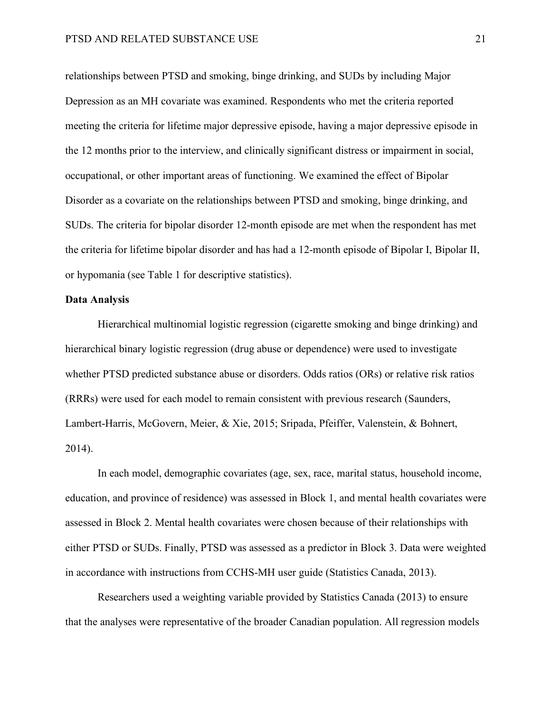relationships between PTSD and smoking, binge drinking, and SUDs by including Major Depression as an MH covariate was examined. Respondents who met the criteria reported meeting the criteria for lifetime major depressive episode, having a major depressive episode in the 12 months prior to the interview, and clinically significant distress or impairment in social, occupational, or other important areas of functioning. We examined the effect of Bipolar Disorder as a covariate on the relationships between PTSD and smoking, binge drinking, and SUDs. The criteria for bipolar disorder 12-month episode are met when the respondent has met the criteria for lifetime bipolar disorder and has had a 12-month episode of Bipolar I, Bipolar II, or hypomania (see Table 1 for descriptive statistics).

#### **Data Analysis**

Hierarchical multinomial logistic regression (cigarette smoking and binge drinking) and hierarchical binary logistic regression (drug abuse or dependence) were used to investigate whether PTSD predicted substance abuse or disorders. Odds ratios (ORs) or relative risk ratios (RRRs) were used for each model to remain consistent with previous research (Saunders, Lambert-Harris, McGovern, Meier, & Xie, 2015; Sripada, Pfeiffer, Valenstein, & Bohnert, 2014).

In each model, demographic covariates (age, sex, race, marital status, household income, education, and province of residence) was assessed in Block 1, and mental health covariates were assessed in Block 2. Mental health covariates were chosen because of their relationships with either PTSD or SUDs. Finally, PTSD was assessed as a predictor in Block 3. Data were weighted in accordance with instructions from CCHS-MH user guide (Statistics Canada, 2013).

Researchers used a weighting variable provided by Statistics Canada (2013) to ensure that the analyses were representative of the broader Canadian population. All regression models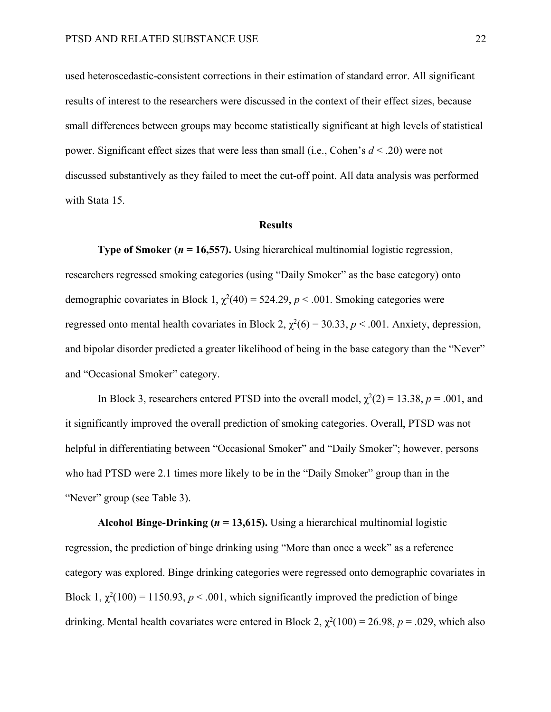used heteroscedastic-consistent corrections in their estimation of standard error. All significant results of interest to the researchers were discussed in the context of their effect sizes, because small differences between groups may become statistically significant at high levels of statistical power. Significant effect sizes that were less than small (i.e., Cohen's *d* < .20) were not discussed substantively as they failed to meet the cut-off point. All data analysis was performed with Stata 15.

#### **Results**

**Type of Smoker (***n* **= 16,557).** Using hierarchical multinomial logistic regression, researchers regressed smoking categories (using "Daily Smoker" as the base category) onto demographic covariates in Block 1,  $\chi^2(40) = 524.29$ ,  $p < .001$ . Smoking categories were regressed onto mental health covariates in Block 2,  $\chi^2(6) = 30.33$ ,  $p < .001$ . Anxiety, depression, and bipolar disorder predicted a greater likelihood of being in the base category than the "Never" and "Occasional Smoker" category.

In Block 3, researchers entered PTSD into the overall model,  $\chi^2(2) = 13.38$ ,  $p = .001$ , and it significantly improved the overall prediction of smoking categories. Overall, PTSD was not helpful in differentiating between "Occasional Smoker" and "Daily Smoker"; however, persons who had PTSD were 2.1 times more likely to be in the "Daily Smoker" group than in the "Never" group (see Table 3).

**Alcohol Binge-Drinking (** $n = 13,615$ **).** Using a hierarchical multinomial logistic regression, the prediction of binge drinking using "More than once a week" as a reference category was explored. Binge drinking categories were regressed onto demographic covariates in Block 1,  $\chi^2(100) = 1150.93$ ,  $p < .001$ , which significantly improved the prediction of binge drinking. Mental health covariates were entered in Block 2,  $\chi^2(100) = 26.98$ ,  $p = .029$ , which also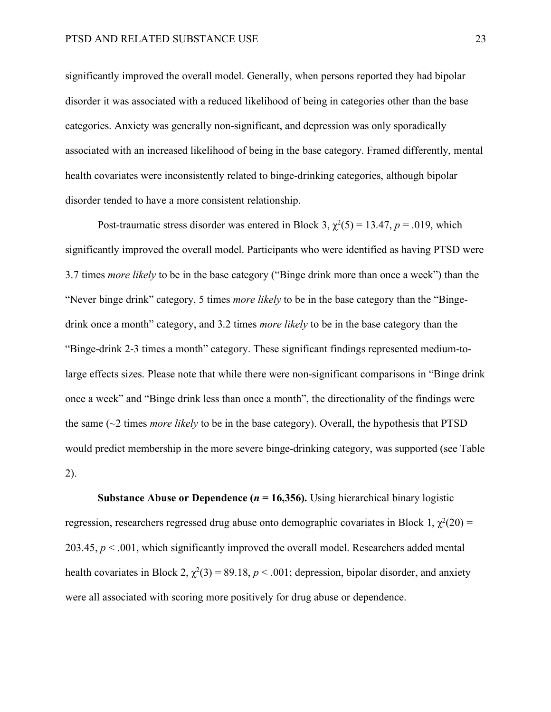significantly improved the overall model. Generally, when persons reported they had bipolar disorder it was associated with a reduced likelihood of being in categories other than the base categories. Anxiety was generally non-significant, and depression was only sporadically associated with an increased likelihood of being in the base category. Framed differently, mental health covariates were inconsistently related to binge-drinking categories, although bipolar disorder tended to have a more consistent relationship.

Post-traumatic stress disorder was entered in Block 3,  $\chi^2(5) = 13.47$ ,  $p = .019$ , which significantly improved the overall model. Participants who were identified as having PTSD were 3.7 times *more likely* to be in the base category ("Binge drink more than once a week") than the "Never binge drink" category, 5 times *more likely* to be in the base category than the "Bingedrink once a month" category, and 3.2 times *more likely* to be in the base category than the "Binge-drink 2-3 times a month" category. These significant findings represented medium-tolarge effects sizes. Please note that while there were non-significant comparisons in "Binge drink once a week" and "Binge drink less than once a month", the directionality of the findings were the same (~2 times *more likely* to be in the base category). Overall, the hypothesis that PTSD would predict membership in the more severe binge-drinking category, was supported (see Table 2).

**Substance Abuse or Dependence (** $n = 16,356$ **).** Using hierarchical binary logistic regression, researchers regressed drug abuse onto demographic covariates in Block 1,  $\chi^2(20)$  = 203.45, *p* < .001, which significantly improved the overall model. Researchers added mental health covariates in Block 2,  $\chi^2(3) = 89.18$ ,  $p < .001$ ; depression, bipolar disorder, and anxiety were all associated with scoring more positively for drug abuse or dependence.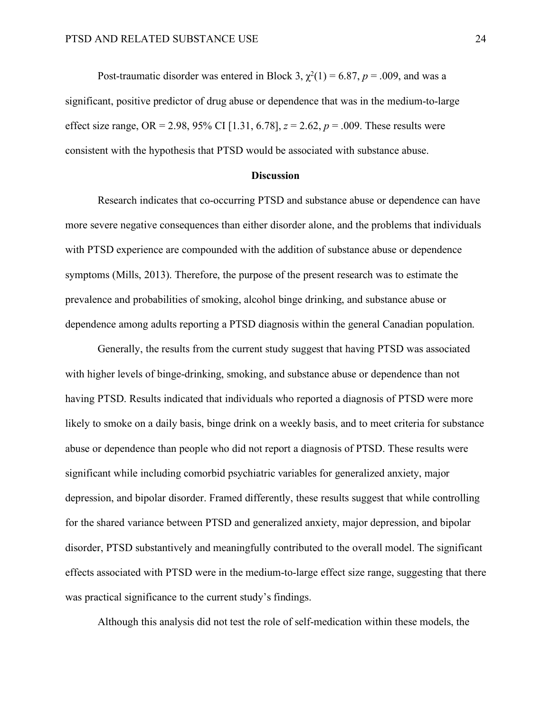Post-traumatic disorder was entered in Block 3,  $\chi^2(1) = 6.87$ ,  $p = .009$ , and was a significant, positive predictor of drug abuse or dependence that was in the medium-to-large effect size range, OR = 2.98, 95% CI [1.31, 6.78],  $z = 2.62$ ,  $p = .009$ . These results were consistent with the hypothesis that PTSD would be associated with substance abuse.

#### **Discussion**

Research indicates that co-occurring PTSD and substance abuse or dependence can have more severe negative consequences than either disorder alone, and the problems that individuals with PTSD experience are compounded with the addition of substance abuse or dependence symptoms (Mills, 2013). Therefore, the purpose of the present research was to estimate the prevalence and probabilities of smoking, alcohol binge drinking, and substance abuse or dependence among adults reporting a PTSD diagnosis within the general Canadian population.

Generally, the results from the current study suggest that having PTSD was associated with higher levels of binge-drinking, smoking, and substance abuse or dependence than not having PTSD. Results indicated that individuals who reported a diagnosis of PTSD were more likely to smoke on a daily basis, binge drink on a weekly basis, and to meet criteria for substance abuse or dependence than people who did not report a diagnosis of PTSD. These results were significant while including comorbid psychiatric variables for generalized anxiety, major depression, and bipolar disorder. Framed differently, these results suggest that while controlling for the shared variance between PTSD and generalized anxiety, major depression, and bipolar disorder, PTSD substantively and meaningfully contributed to the overall model. The significant effects associated with PTSD were in the medium-to-large effect size range, suggesting that there was practical significance to the current study's findings.

Although this analysis did not test the role of self-medication within these models, the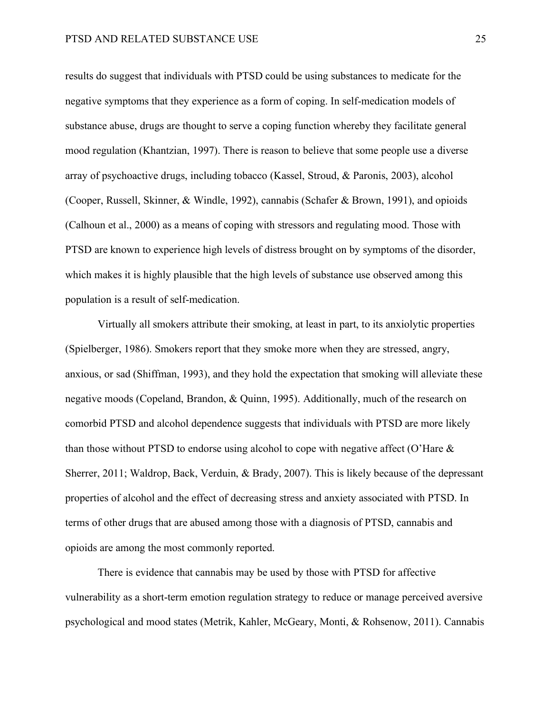results do suggest that individuals with PTSD could be using substances to medicate for the negative symptoms that they experience as a form of coping. In self-medication models of substance abuse, drugs are thought to serve a coping function whereby they facilitate general mood regulation (Khantzian, 1997). There is reason to believe that some people use a diverse array of psychoactive drugs, including tobacco (Kassel, Stroud, & Paronis, 2003), alcohol (Cooper, Russell, Skinner, & Windle, 1992), cannabis (Schafer & Brown, 1991), and opioids (Calhoun et al., 2000) as a means of coping with stressors and regulating mood. Those with PTSD are known to experience high levels of distress brought on by symptoms of the disorder, which makes it is highly plausible that the high levels of substance use observed among this population is a result of self-medication.

Virtually all smokers attribute their smoking, at least in part, to its anxiolytic properties (Spielberger, 1986). Smokers report that they smoke more when they are stressed, angry, anxious, or sad (Shiffman, 1993), and they hold the expectation that smoking will alleviate these negative moods (Copeland, Brandon, & Quinn, 1995). Additionally, much of the research on comorbid PTSD and alcohol dependence suggests that individuals with PTSD are more likely than those without PTSD to endorse using alcohol to cope with negative affect (O'Hare  $\&$ Sherrer, 2011; Waldrop, Back, Verduin, & Brady, 2007). This is likely because of the depressant properties of alcohol and the effect of decreasing stress and anxiety associated with PTSD. In terms of other drugs that are abused among those with a diagnosis of PTSD, cannabis and opioids are among the most commonly reported.

There is evidence that cannabis may be used by those with PTSD for affective vulnerability as a short-term emotion regulation strategy to reduce or manage perceived aversive psychological and mood states (Metrik, Kahler, McGeary, Monti, & Rohsenow, 2011). Cannabis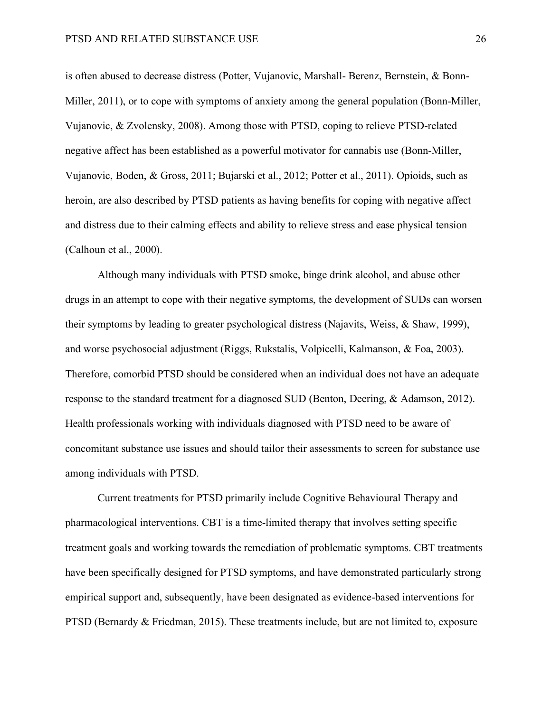is often abused to decrease distress (Potter, Vujanovic, Marshall- Berenz, Bernstein, & Bonn-Miller, 2011), or to cope with symptoms of anxiety among the general population (Bonn-Miller, Vujanovic, & Zvolensky, 2008). Among those with PTSD, coping to relieve PTSD-related negative affect has been established as a powerful motivator for cannabis use (Bonn-Miller, Vujanovic, Boden, & Gross, 2011; Bujarski et al., 2012; Potter et al., 2011). Opioids, such as heroin, are also described by PTSD patients as having benefits for coping with negative affect and distress due to their calming effects and ability to relieve stress and ease physical tension (Calhoun et al., 2000).

Although many individuals with PTSD smoke, binge drink alcohol, and abuse other drugs in an attempt to cope with their negative symptoms, the development of SUDs can worsen their symptoms by leading to greater psychological distress (Najavits, Weiss, & Shaw, 1999), and worse psychosocial adjustment (Riggs, Rukstalis, Volpicelli, Kalmanson, & Foa, 2003). Therefore, comorbid PTSD should be considered when an individual does not have an adequate response to the standard treatment for a diagnosed SUD (Benton, Deering, & Adamson, 2012). Health professionals working with individuals diagnosed with PTSD need to be aware of concomitant substance use issues and should tailor their assessments to screen for substance use among individuals with PTSD.

Current treatments for PTSD primarily include Cognitive Behavioural Therapy and pharmacological interventions. CBT is a time-limited therapy that involves setting specific treatment goals and working towards the remediation of problematic symptoms. CBT treatments have been specifically designed for PTSD symptoms, and have demonstrated particularly strong empirical support and, subsequently, have been designated as evidence-based interventions for PTSD (Bernardy & Friedman, 2015). These treatments include, but are not limited to, exposure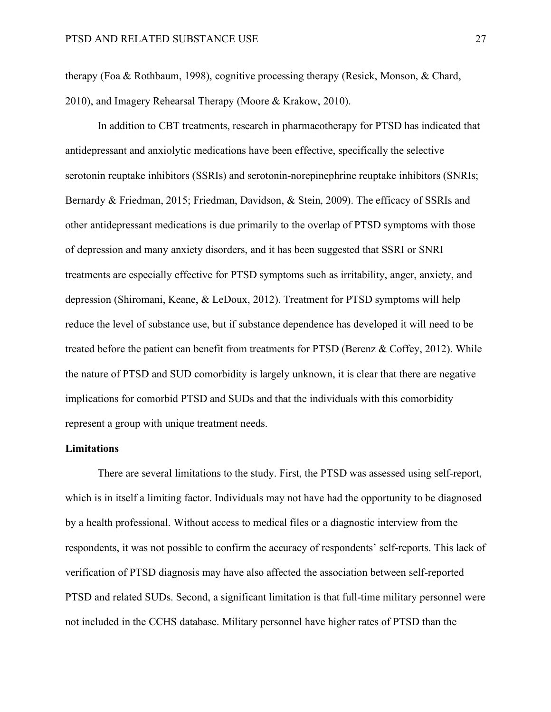therapy (Foa & Rothbaum, 1998), cognitive processing therapy (Resick, Monson, & Chard, 2010), and Imagery Rehearsal Therapy (Moore & Krakow, 2010).

In addition to CBT treatments, research in pharmacotherapy for PTSD has indicated that antidepressant and anxiolytic medications have been effective, specifically the selective serotonin reuptake inhibitors (SSRIs) and serotonin-norepinephrine reuptake inhibitors (SNRIs; Bernardy & Friedman, 2015; Friedman, Davidson, & Stein, 2009). The efficacy of SSRIs and other antidepressant medications is due primarily to the overlap of PTSD symptoms with those of depression and many anxiety disorders, and it has been suggested that SSRI or SNRI treatments are especially effective for PTSD symptoms such as irritability, anger, anxiety, and depression (Shiromani, Keane, & LeDoux, 2012). Treatment for PTSD symptoms will help reduce the level of substance use, but if substance dependence has developed it will need to be treated before the patient can benefit from treatments for PTSD (Berenz & Coffey, 2012). While the nature of PTSD and SUD comorbidity is largely unknown, it is clear that there are negative implications for comorbid PTSD and SUDs and that the individuals with this comorbidity represent a group with unique treatment needs.

## **Limitations**

There are several limitations to the study. First, the PTSD was assessed using self-report, which is in itself a limiting factor. Individuals may not have had the opportunity to be diagnosed by a health professional. Without access to medical files or a diagnostic interview from the respondents, it was not possible to confirm the accuracy of respondents' self-reports. This lack of verification of PTSD diagnosis may have also affected the association between self-reported PTSD and related SUDs. Second, a significant limitation is that full-time military personnel were not included in the CCHS database. Military personnel have higher rates of PTSD than the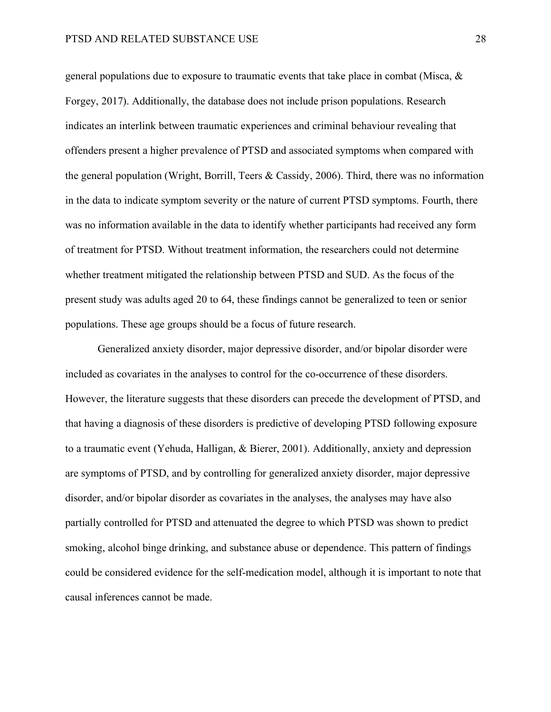general populations due to exposure to traumatic events that take place in combat (Misca, & Forgey, 2017). Additionally, the database does not include prison populations. Research indicates an interlink between traumatic experiences and criminal behaviour revealing that offenders present a higher prevalence of PTSD and associated symptoms when compared with the general population (Wright, Borrill, Teers & Cassidy, 2006). Third, there was no information in the data to indicate symptom severity or the nature of current PTSD symptoms. Fourth, there was no information available in the data to identify whether participants had received any form of treatment for PTSD. Without treatment information, the researchers could not determine whether treatment mitigated the relationship between PTSD and SUD. As the focus of the present study was adults aged 20 to 64, these findings cannot be generalized to teen or senior populations. These age groups should be a focus of future research.

Generalized anxiety disorder, major depressive disorder, and/or bipolar disorder were included as covariates in the analyses to control for the co-occurrence of these disorders. However, the literature suggests that these disorders can precede the development of PTSD, and that having a diagnosis of these disorders is predictive of developing PTSD following exposure to a traumatic event (Yehuda, Halligan, & Bierer, 2001). Additionally, anxiety and depression are symptoms of PTSD, and by controlling for generalized anxiety disorder, major depressive disorder, and/or bipolar disorder as covariates in the analyses, the analyses may have also partially controlled for PTSD and attenuated the degree to which PTSD was shown to predict smoking, alcohol binge drinking, and substance abuse or dependence. This pattern of findings could be considered evidence for the self-medication model, although it is important to note that causal inferences cannot be made.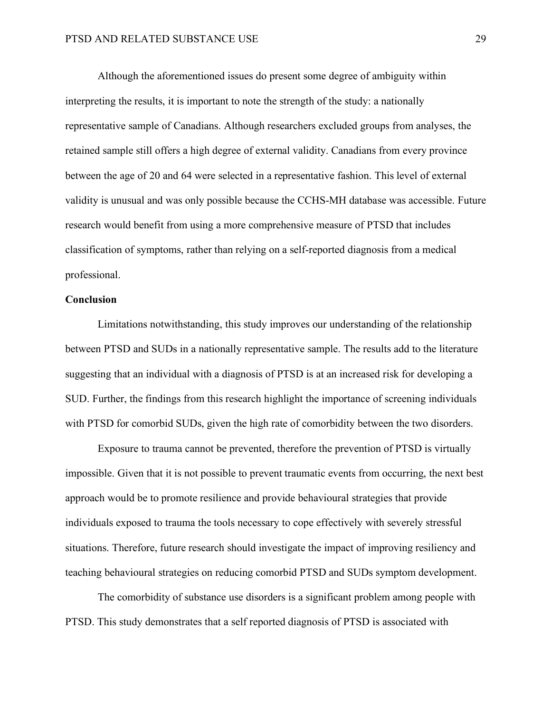Although the aforementioned issues do present some degree of ambiguity within interpreting the results, it is important to note the strength of the study: a nationally representative sample of Canadians. Although researchers excluded groups from analyses, the retained sample still offers a high degree of external validity. Canadians from every province between the age of 20 and 64 were selected in a representative fashion. This level of external validity is unusual and was only possible because the CCHS-MH database was accessible. Future research would benefit from using a more comprehensive measure of PTSD that includes classification of symptoms, rather than relying on a self-reported diagnosis from a medical professional.

#### **Conclusion**

Limitations notwithstanding, this study improves our understanding of the relationship between PTSD and SUDs in a nationally representative sample. The results add to the literature suggesting that an individual with a diagnosis of PTSD is at an increased risk for developing a SUD. Further, the findings from this research highlight the importance of screening individuals with PTSD for comorbid SUDs, given the high rate of comorbidity between the two disorders.

Exposure to trauma cannot be prevented, therefore the prevention of PTSD is virtually impossible. Given that it is not possible to prevent traumatic events from occurring, the next best approach would be to promote resilience and provide behavioural strategies that provide individuals exposed to trauma the tools necessary to cope effectively with severely stressful situations. Therefore, future research should investigate the impact of improving resiliency and teaching behavioural strategies on reducing comorbid PTSD and SUDs symptom development.

The comorbidity of substance use disorders is a significant problem among people with PTSD. This study demonstrates that a self reported diagnosis of PTSD is associated with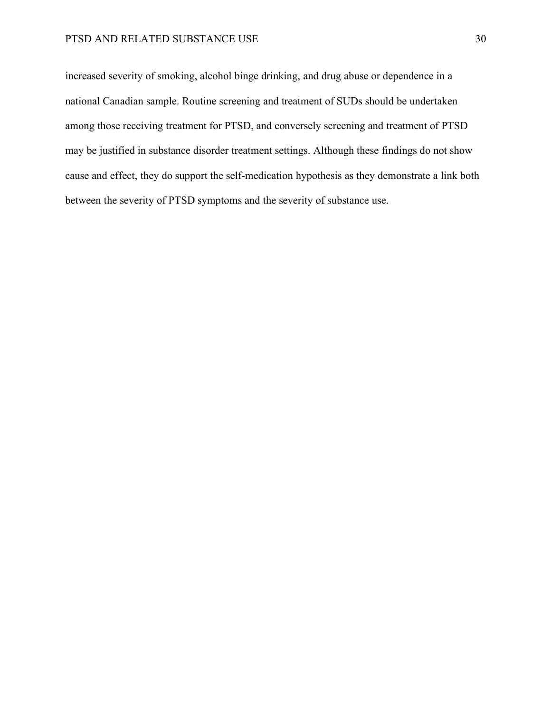increased severity of smoking, alcohol binge drinking, and drug abuse or dependence in a national Canadian sample. Routine screening and treatment of SUDs should be undertaken among those receiving treatment for PTSD, and conversely screening and treatment of PTSD may be justified in substance disorder treatment settings. Although these findings do not show cause and effect, they do support the self-medication hypothesis as they demonstrate a link both between the severity of PTSD symptoms and the severity of substance use.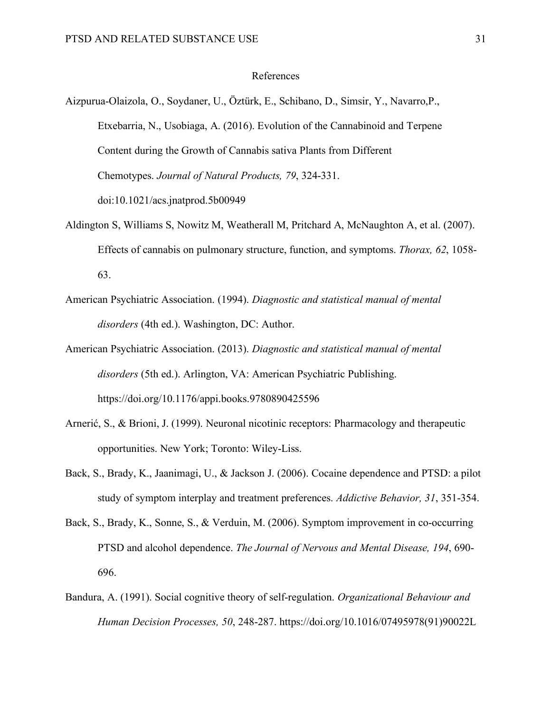## References

Aizpurua-Olaizola, O., Soydaner, U., Öztürk, E., Schibano, D., Simsir, Y., Navarro,P., Etxebarria, N., Usobiaga, A. (2016). Evolution of the Cannabinoid and Terpene Content during the Growth of Cannabis sativa Plants from Different Chemotypes. *Journal of Natural Products, 79*, 324-331. doi:10.1021/acs.jnatprod.5b00949

- Aldington S, Williams S, Nowitz M, Weatherall M, Pritchard A, McNaughton A, et al. (2007). Effects of cannabis on pulmonary structure, function, and symptoms. *Thorax, 62*, 1058- 63.
- American Psychiatric Association. (1994). *Diagnostic and statistical manual of mental disorders* (4th ed.). Washington, DC: Author.
- American Psychiatric Association. (2013). *Diagnostic and statistical manual of mental disorders* (5th ed.). Arlington, VA: American Psychiatric Publishing. https://doi.org/10.1176/appi.books.9780890425596
- Arnerić, S., & Brioni, J. (1999). Neuronal nicotinic receptors: Pharmacology and therapeutic opportunities. New York; Toronto: Wiley-Liss.
- Back, S., Brady, K., Jaanimagi, U., & Jackson J. (2006). Cocaine dependence and PTSD: a pilot study of symptom interplay and treatment preferences. *Addictive Behavior, 31*, 351-354.
- Back, S., Brady, K., Sonne, S., & Verduin, M. (2006). Symptom improvement in co-occurring PTSD and alcohol dependence. *The Journal of Nervous and Mental Disease, 194*, 690- 696.
- Bandura, A. (1991). Social cognitive theory of self-regulation. *Organizational Behaviour and Human Decision Processes, 50*, 248-287. https://doi.org/10.1016/07495978(91)90022L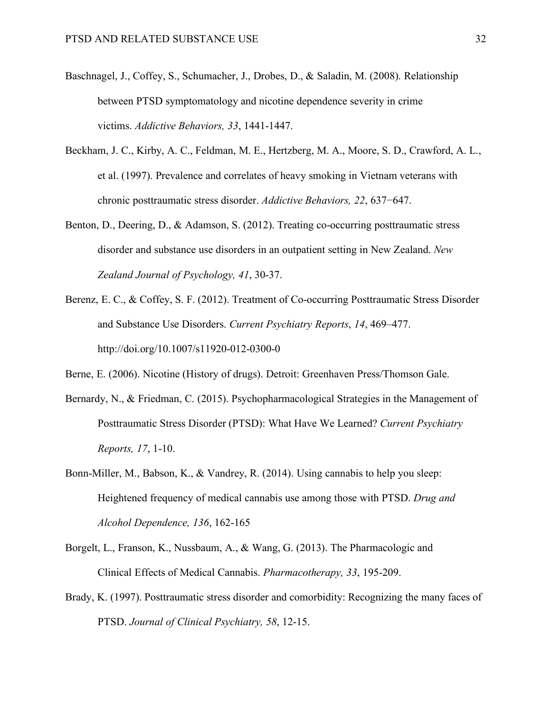- Baschnagel, J., Coffey, S., Schumacher, J., Drobes, D., & Saladin, M. (2008). Relationship between PTSD symptomatology and nicotine dependence severity in crime victims. *Addictive Behaviors, 33*, 1441-1447.
- Beckham, J. C., Kirby, A. C., Feldman, M. E., Hertzberg, M. A., Moore, S. D., Crawford, A. L., et al. (1997). Prevalence and correlates of heavy smoking in Vietnam veterans with chronic posttraumatic stress disorder. *Addictive Behaviors, 22*, 637−647.
- Benton, D., Deering, D., & Adamson, S. (2012). Treating co-occurring posttraumatic stress disorder and substance use disorders in an outpatient setting in New Zealand. *New Zealand Journal of Psychology, 41*, 30-37.
- Berenz, E. C., & Coffey, S. F. (2012). Treatment of Co-occurring Posttraumatic Stress Disorder and Substance Use Disorders. *Current Psychiatry Reports*, *14*, 469–477. http://doi.org/10.1007/s11920-012-0300-0

Berne, E. (2006). Nicotine (History of drugs). Detroit: Greenhaven Press/Thomson Gale.

- Bernardy, N., & Friedman, C. (2015). Psychopharmacological Strategies in the Management of Posttraumatic Stress Disorder (PTSD): What Have We Learned? *Current Psychiatry Reports, 17*, 1-10.
- Bonn-Miller, M., Babson, K., & Vandrey, R. (2014). Using cannabis to help you sleep: Heightened frequency of medical cannabis use among those with PTSD. *Drug and Alcohol Dependence, 136*, 162-165
- Borgelt, L., Franson, K., Nussbaum, A., & Wang, G. (2013). The Pharmacologic and Clinical Effects of Medical Cannabis. *Pharmacotherapy, 33*, 195-209.
- Brady, K. (1997). Posttraumatic stress disorder and comorbidity: Recognizing the many faces of PTSD. *Journal of Clinical Psychiatry, 58*, 12-15.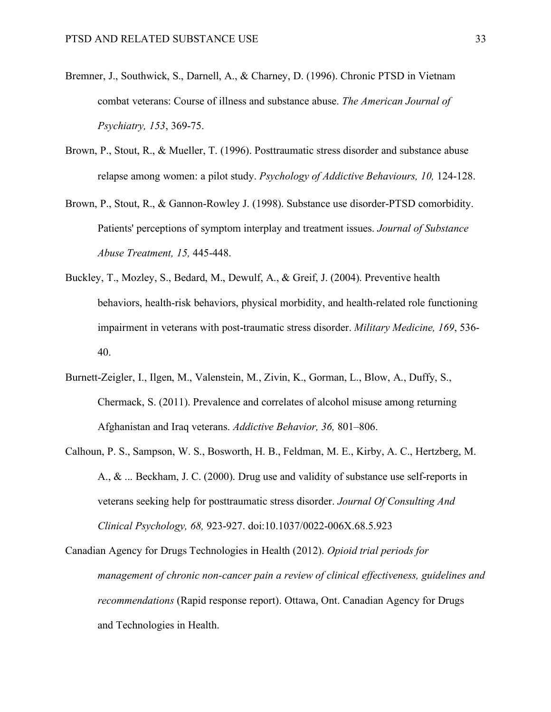- Bremner, J., Southwick, S., Darnell, A., & Charney, D. (1996). Chronic PTSD in Vietnam combat veterans: Course of illness and substance abuse. *The American Journal of Psychiatry, 153*, 369-75.
- Brown, P., Stout, R., & Mueller, T. (1996). Posttraumatic stress disorder and substance abuse relapse among women: a pilot study. *Psychology of Addictive Behaviours, 10,* 124-128.
- Brown, P., Stout, R., & Gannon-Rowley J. (1998). Substance use disorder-PTSD comorbidity. Patients' perceptions of symptom interplay and treatment issues. *Journal of Substance Abuse Treatment, 15,* 445-448.
- Buckley, T., Mozley, S., Bedard, M., Dewulf, A., & Greif, J. (2004). Preventive health behaviors, health-risk behaviors, physical morbidity, and health-related role functioning impairment in veterans with post-traumatic stress disorder. *Military Medicine, 169*, 536- 40.
- Burnett-Zeigler, I., Ilgen, M., Valenstein, M., Zivin, K., Gorman, L., Blow, A., Duffy, S., Chermack, S. (2011). Prevalence and correlates of alcohol misuse among returning Afghanistan and Iraq veterans. *Addictive Behavior, 36,* 801–806.
- Calhoun, P. S., Sampson, W. S., Bosworth, H. B., Feldman, M. E., Kirby, A. C., Hertzberg, M. A., & ... Beckham, J. C. (2000). Drug use and validity of substance use self-reports in veterans seeking help for posttraumatic stress disorder. *Journal Of Consulting And Clinical Psychology, 68,* 923-927. doi:10.1037/0022-006X.68.5.923

Canadian Agency for Drugs Technologies in Health (2012). *Opioid trial periods for management of chronic non-cancer pain a review of clinical effectiveness, guidelines and recommendations* (Rapid response report). Ottawa, Ont. Canadian Agency for Drugs and Technologies in Health.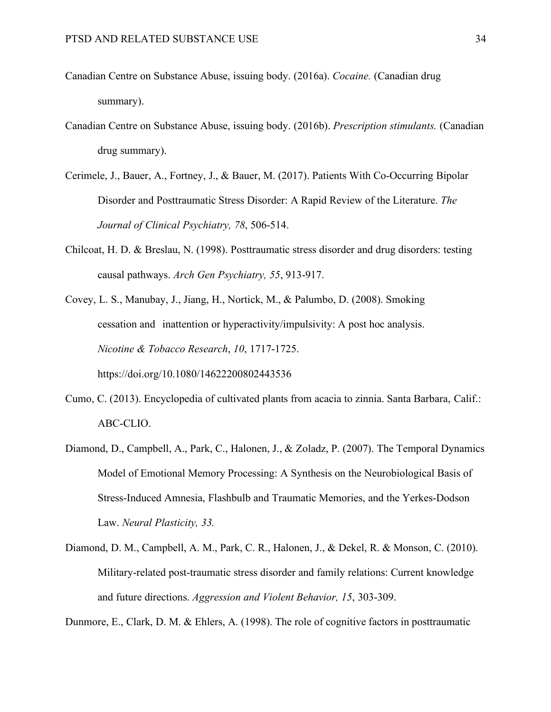- Canadian Centre on Substance Abuse, issuing body. (2016a). *Cocaine.* (Canadian drug summary).
- Canadian Centre on Substance Abuse, issuing body. (2016b). *Prescription stimulants.* (Canadian drug summary).
- Cerimele, J., Bauer, A., Fortney, J., & Bauer, M. (2017). Patients With Co-Occurring Bipolar Disorder and Posttraumatic Stress Disorder: A Rapid Review of the Literature. *The Journal of Clinical Psychiatry, 78*, 506-514.
- Chilcoat, H. D. & Breslau, N. (1998). Posttraumatic stress disorder and drug disorders: testing causal pathways. *Arch Gen Psychiatry, 55*, 913-917.
- Covey, L. S., Manubay, J., Jiang, H., Nortick, M., & Palumbo, D. (2008). Smoking cessation and inattention or hyperactivity/impulsivity: A post hoc analysis. *Nicotine & Tobacco Research*, *10*, 1717-1725. https://doi.org/10.1080/14622200802443536
- Cumo, C. (2013). Encyclopedia of cultivated plants from acacia to zinnia. Santa Barbara, Calif.: ABC-CLIO.
- Diamond, D., Campbell, A., Park, C., Halonen, J., & Zoladz, P. (2007). The Temporal Dynamics Model of Emotional Memory Processing: A Synthesis on the Neurobiological Basis of Stress-Induced Amnesia, Flashbulb and Traumatic Memories, and the Yerkes-Dodson Law. *Neural Plasticity, 33.*
- Diamond, D. M., Campbell, A. M., Park, C. R., Halonen, J., & Dekel, R. & Monson, C. (2010). Military-related post-traumatic stress disorder and family relations: Current knowledge and future directions. *Aggression and Violent Behavior, 15*, 303-309.

Dunmore, E., Clark, D. M. & Ehlers, A. (1998). The role of cognitive factors in posttraumatic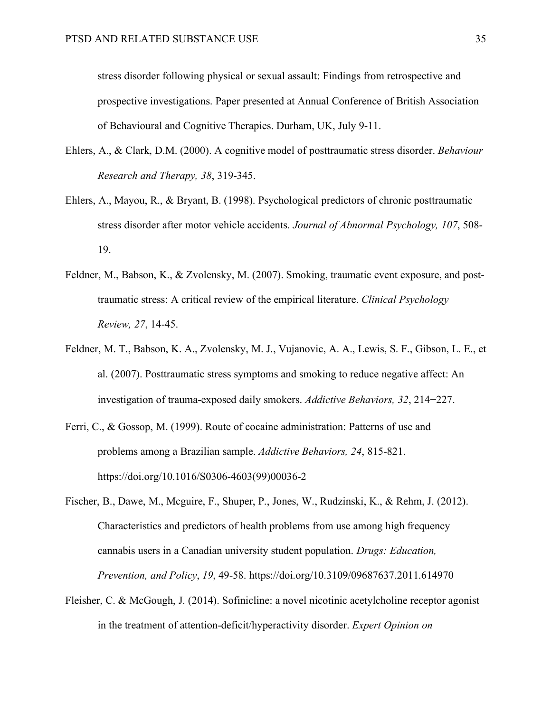stress disorder following physical or sexual assault: Findings from retrospective and prospective investigations. Paper presented at Annual Conference of British Association of Behavioural and Cognitive Therapies. Durham, UK, July 9-11.

- Ehlers, A., & Clark, D.M. (2000). A cognitive model of posttraumatic stress disorder. *Behaviour Research and Therapy, 38*, 319-345.
- Ehlers, A., Mayou, R., & Bryant, B. (1998). Psychological predictors of chronic posttraumatic stress disorder after motor vehicle accidents. *Journal of Abnormal Psychology, 107*, 508- 19.
- Feldner, M., Babson, K., & Zvolensky, M. (2007). Smoking, traumatic event exposure, and posttraumatic stress: A critical review of the empirical literature. *Clinical Psychology Review, 27*, 14-45.
- Feldner, M. T., Babson, K. A., Zvolensky, M. J., Vujanovic, A. A., Lewis, S. F., Gibson, L. E., et al. (2007). Posttraumatic stress symptoms and smoking to reduce negative affect: An investigation of trauma-exposed daily smokers. *Addictive Behaviors, 32*, 214−227.
- Ferri, C., & Gossop, M. (1999). Route of cocaine administration: Patterns of use and problems among a Brazilian sample. *Addictive Behaviors, 24*, 815-821. https://doi.org/10.1016/S0306-4603(99)00036-2
- Fischer, B., Dawe, M., Mcguire, F., Shuper, P., Jones, W., Rudzinski, K., & Rehm, J. (2012). Characteristics and predictors of health problems from use among high frequency cannabis users in a Canadian university student population. *Drugs: Education, Prevention, and Policy*, *19*, 49-58. https://doi.org/10.3109/09687637.2011.614970
- Fleisher, C. & McGough, J. (2014). Sofinicline: a novel nicotinic acetylcholine receptor agonist in the treatment of attention-deficit/hyperactivity disorder. *Expert Opinion on*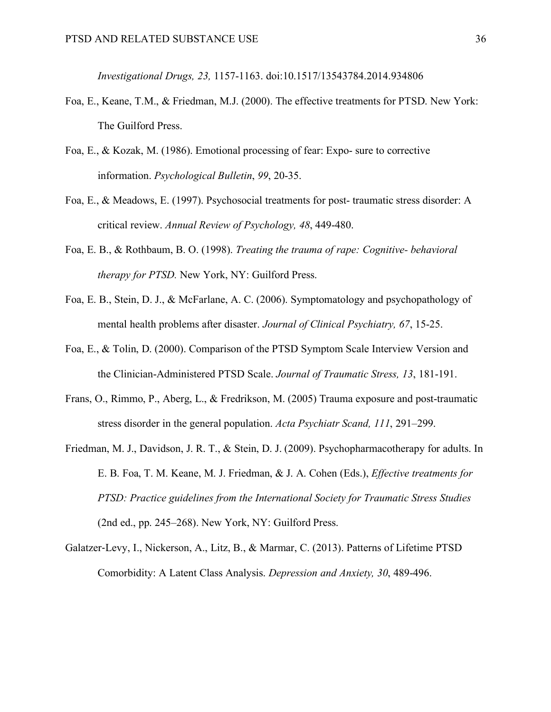*Investigational Drugs, 23,* 1157-1163. doi:10.1517/13543784.2014.934806

- Foa, E., Keane, T.M., & Friedman, M.J. (2000). The effective treatments for PTSD. New York: The Guilford Press.
- Foa, E., & Kozak, M. (1986). Emotional processing of fear: Expo- sure to corrective information. *Psychological Bulletin*, *99*, 20-35.
- Foa, E., & Meadows, E. (1997). Psychosocial treatments for post- traumatic stress disorder: A critical review. *Annual Review of Psychology, 48*, 449-480.
- Foa, E. B., & Rothbaum, B. O. (1998). *Treating the trauma of rape: Cognitive- behavioral therapy for PTSD.* New York, NY: Guilford Press.
- Foa, E. B., Stein, D. J., & McFarlane, A. C. (2006). Symptomatology and psychopathology of mental health problems after disaster. *Journal of Clinical Psychiatry, 67*, 15-25.
- Foa, E., & Tolin, D. (2000). Comparison of the PTSD Symptom Scale Interview Version and the Clinician-Administered PTSD Scale. *Journal of Traumatic Stress, 13*, 181-191.
- Frans, O., Rimmo, P., Aberg, L., & Fredrikson, M. (2005) Trauma exposure and post-traumatic stress disorder in the general population. *Acta Psychiatr Scand, 111*, 291–299.
- Friedman, M. J., Davidson, J. R. T., & Stein, D. J. (2009). Psychopharmacotherapy for adults. In E. B. Foa, T. M. Keane, M. J. Friedman, & J. A. Cohen (Eds.), *Effective treatments for PTSD: Practice guidelines from the International Society for Traumatic Stress Studies*  (2nd ed., pp. 245–268). New York, NY: Guilford Press.
- Galatzer-Levy, I., Nickerson, A., Litz, B., & Marmar, C. (2013). Patterns of Lifetime PTSD Comorbidity: A Latent Class Analysis. *Depression and Anxiety, 30*, 489-496.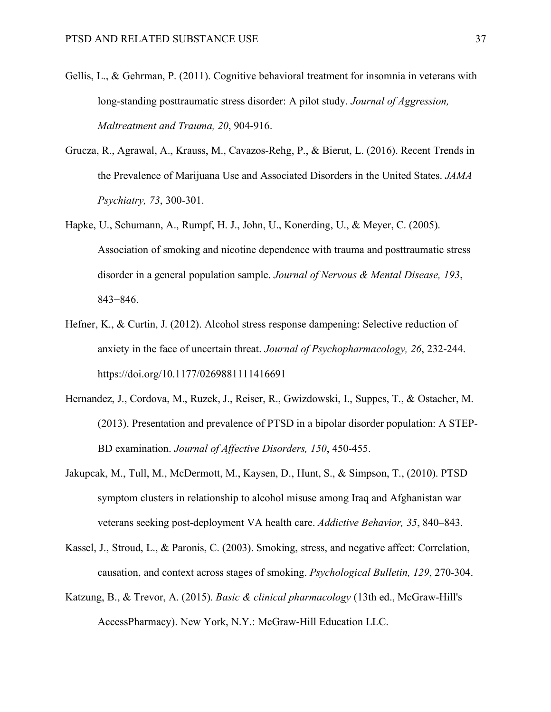- Gellis, L., & Gehrman, P. (2011). Cognitive behavioral treatment for insomnia in veterans with long-standing posttraumatic stress disorder: A pilot study. *Journal of Aggression, Maltreatment and Trauma, 20*, 904-916.
- Grucza, R., Agrawal, A., Krauss, M., Cavazos-Rehg, P., & Bierut, L. (2016). Recent Trends in the Prevalence of Marijuana Use and Associated Disorders in the United States. *JAMA Psychiatry, 73*, 300-301.
- Hapke, U., Schumann, A., Rumpf, H. J., John, U., Konerding, U., & Meyer, C. (2005). Association of smoking and nicotine dependence with trauma and posttraumatic stress disorder in a general population sample. *Journal of Nervous & Mental Disease, 193*, 843−846.
- Hefner, K., & Curtin, J. (2012). Alcohol stress response dampening: Selective reduction of anxiety in the face of uncertain threat. *Journal of Psychopharmacology, 26*, 232-244. https://doi.org/10.1177/0269881111416691
- Hernandez, J., Cordova, M., Ruzek, J., Reiser, R., Gwizdowski, I., Suppes, T., & Ostacher, M. (2013). Presentation and prevalence of PTSD in a bipolar disorder population: A STEP-BD examination. *Journal of Affective Disorders, 150*, 450-455.
- Jakupcak, M., Tull, M., McDermott, M., Kaysen, D., Hunt, S., & Simpson, T., (2010). PTSD symptom clusters in relationship to alcohol misuse among Iraq and Afghanistan war veterans seeking post-deployment VA health care. *Addictive Behavior, 35*, 840–843.
- Kassel, J., Stroud, L., & Paronis, C. (2003). Smoking, stress, and negative affect: Correlation, causation, and context across stages of smoking. *Psychological Bulletin, 129*, 270-304.
- Katzung, B., & Trevor, A. (2015). *Basic & clinical pharmacology* (13th ed., McGraw-Hill's AccessPharmacy). New York, N.Y.: McGraw-Hill Education LLC.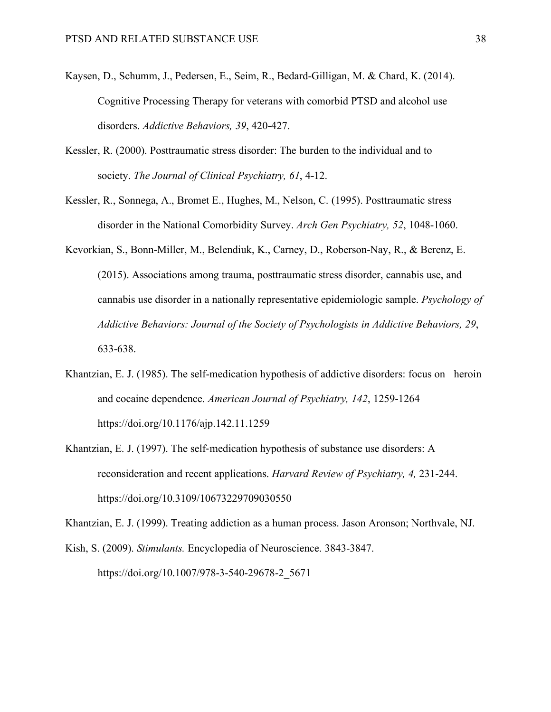- Kaysen, D., Schumm, J., Pedersen, E., Seim, R., Bedard-Gilligan, M. & Chard, K. (2014). Cognitive Processing Therapy for veterans with comorbid PTSD and alcohol use disorders. *Addictive Behaviors, 39*, 420-427.
- Kessler, R. (2000). Posttraumatic stress disorder: The burden to the individual and to society. *The Journal of Clinical Psychiatry, 61*, 4-12.
- Kessler, R., Sonnega, A., Bromet E., Hughes, M., Nelson, C. (1995). Posttraumatic stress disorder in the National Comorbidity Survey. *Arch Gen Psychiatry, 52*, 1048-1060.
- Kevorkian, S., Bonn-Miller, M., Belendiuk, K., Carney, D., Roberson-Nay, R., & Berenz, E. (2015). Associations among trauma, posttraumatic stress disorder, cannabis use, and cannabis use disorder in a nationally representative epidemiologic sample. *Psychology of Addictive Behaviors: Journal of the Society of Psychologists in Addictive Behaviors, 29*, 633-638.
- Khantzian, E. J. (1985). The self-medication hypothesis of addictive disorders: focus on heroin and cocaine dependence. *American Journal of Psychiatry, 142*, 1259-1264 https://doi.org/10.1176/ajp.142.11.1259
- Khantzian, E. J. (1997). The self-medication hypothesis of substance use disorders: A reconsideration and recent applications. *Harvard Review of Psychiatry, 4,* 231-244. https://doi.org/10.3109/10673229709030550

Khantzian, E. J. (1999). Treating addiction as a human process. Jason Aronson; Northvale, NJ.

Kish, S. (2009). *Stimulants.* Encyclopedia of Neuroscience. 3843-3847. https://doi.org/10.1007/978-3-540-29678-2\_5671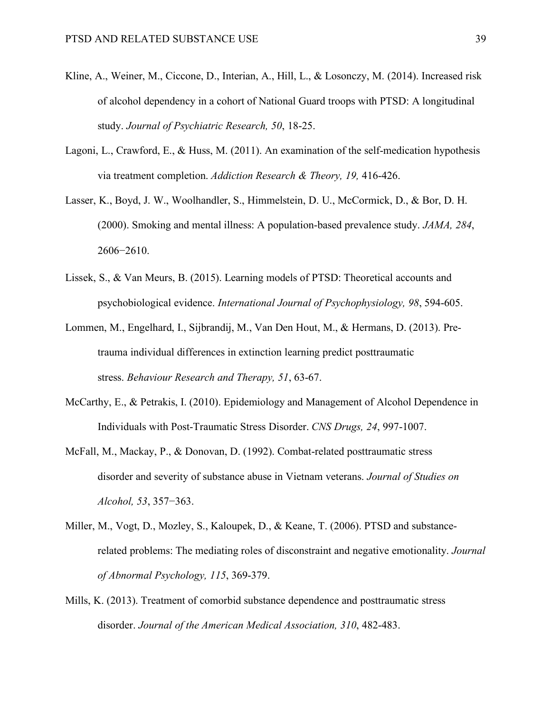- Kline, A., Weiner, M., Ciccone, D., Interian, A., Hill, L., & Losonczy, M. (2014). Increased risk of alcohol dependency in a cohort of National Guard troops with PTSD: A longitudinal study. *Journal of Psychiatric Research, 50*, 18-25.
- Lagoni, L., Crawford, E., & Huss, M. (2011). An examination of the self-medication hypothesis via treatment completion. *Addiction Research & Theory, 19,* 416-426.
- Lasser, K., Boyd, J. W., Woolhandler, S., Himmelstein, D. U., McCormick, D., & Bor, D. H. (2000). Smoking and mental illness: A population-based prevalence study. *JAMA, 284*, 2606−2610.
- Lissek, S., & Van Meurs, B. (2015). Learning models of PTSD: Theoretical accounts and psychobiological evidence. *International Journal of Psychophysiology, 98*, 594-605.
- Lommen, M., Engelhard, I., Sijbrandij, M., Van Den Hout, M., & Hermans, D. (2013). Pretrauma individual differences in extinction learning predict posttraumatic stress. *Behaviour Research and Therapy, 51*, 63-67.
- McCarthy, E., & Petrakis, I. (2010). Epidemiology and Management of Alcohol Dependence in Individuals with Post-Traumatic Stress Disorder. *CNS Drugs, 24*, 997-1007.
- McFall, M., Mackay, P., & Donovan, D. (1992). Combat-related posttraumatic stress disorder and severity of substance abuse in Vietnam veterans. *Journal of Studies on Alcohol, 53*, 357−363.
- Miller, M., Vogt, D., Mozley, S., Kaloupek, D., & Keane, T. (2006). PTSD and substancerelated problems: The mediating roles of disconstraint and negative emotionality. *Journal of Abnormal Psychology, 115*, 369-379.
- Mills, K. (2013). Treatment of comorbid substance dependence and posttraumatic stress disorder. *Journal of the American Medical Association, 310*, 482-483.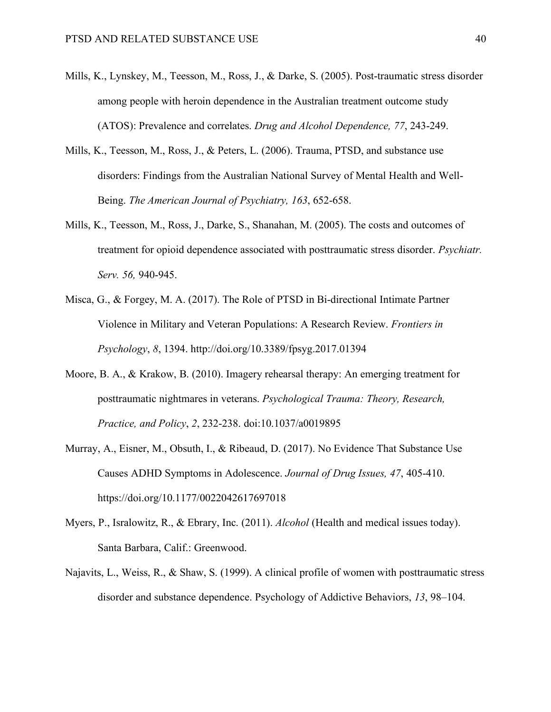- Mills, K., Lynskey, M., Teesson, M., Ross, J., & Darke, S. (2005). Post-traumatic stress disorder among people with heroin dependence in the Australian treatment outcome study (ATOS): Prevalence and correlates. *Drug and Alcohol Dependence, 77*, 243-249.
- Mills, K., Teesson, M., Ross, J., & Peters, L. (2006). Trauma, PTSD, and substance use disorders: Findings from the Australian National Survey of Mental Health and Well-Being. *The American Journal of Psychiatry, 163*, 652-658.
- Mills, K., Teesson, M., Ross, J., Darke, S., Shanahan, M. (2005). The costs and outcomes of treatment for opioid dependence associated with posttraumatic stress disorder. *Psychiatr. Serv. 56,* 940-945.
- Misca, G., & Forgey, M. A. (2017). The Role of PTSD in Bi-directional Intimate Partner Violence in Military and Veteran Populations: A Research Review. *Frontiers in Psychology*, *8*, 1394. http://doi.org/10.3389/fpsyg.2017.01394
- Moore, B. A., & Krakow, B. (2010). Imagery rehearsal therapy: An emerging treatment for posttraumatic nightmares in veterans. *Psychological Trauma: Theory, Research, Practice, and Policy*, *2*, 232-238. doi:10.1037/a0019895
- Murray, A., Eisner, M., Obsuth, I., & Ribeaud, D. (2017). No Evidence That Substance Use Causes ADHD Symptoms in Adolescence. *Journal of Drug Issues, 47*, 405-410. https://doi.org/10.1177/0022042617697018
- Myers, P., Isralowitz, R., & Ebrary, Inc. (2011). *Alcohol* (Health and medical issues today). Santa Barbara, Calif.: Greenwood.
- Najavits, L., Weiss, R., & Shaw, S. (1999). A clinical profile of women with posttraumatic stress disorder and substance dependence. Psychology of Addictive Behaviors, *13*, 98–104.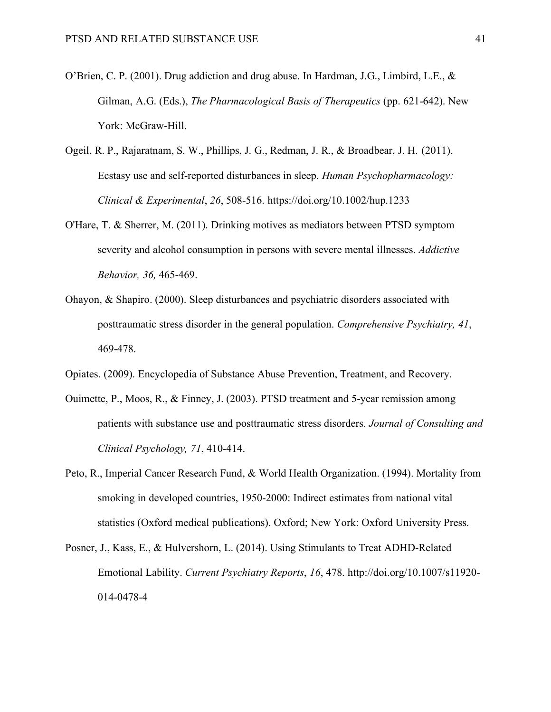- O'Brien, C. P. (2001). Drug addiction and drug abuse. In Hardman, J.G., Limbird, L.E., & Gilman, A.G. (Eds.), *The Pharmacological Basis of Therapeutics* (pp. 621-642). New York: McGraw-Hill.
- Ogeil, R. P., Rajaratnam, S. W., Phillips, J. G., Redman, J. R., & Broadbear, J. H. (2011). Ecstasy use and self-reported disturbances in sleep. *Human Psychopharmacology: Clinical & Experimental*, *26*, 508-516. https://doi.org/10.1002/hup.1233
- O'Hare, T. & Sherrer, M. (2011). Drinking motives as mediators between PTSD symptom severity and alcohol consumption in persons with severe mental illnesses. *Addictive Behavior, 36,* 465-469.
- Ohayon, & Shapiro. (2000). Sleep disturbances and psychiatric disorders associated with posttraumatic stress disorder in the general population. *Comprehensive Psychiatry, 41*, 469-478.
- Opiates. (2009). Encyclopedia of Substance Abuse Prevention, Treatment, and Recovery.
- Ouimette, P., Moos, R., & Finney, J. (2003). PTSD treatment and 5-year remission among patients with substance use and posttraumatic stress disorders. *Journal of Consulting and Clinical Psychology, 71*, 410-414.
- Peto, R., Imperial Cancer Research Fund, & World Health Organization. (1994). Mortality from smoking in developed countries, 1950-2000: Indirect estimates from national vital statistics (Oxford medical publications). Oxford; New York: Oxford University Press.
- Posner, J., Kass, E., & Hulvershorn, L. (2014). Using Stimulants to Treat ADHD-Related Emotional Lability. *Current Psychiatry Reports*, *16*, 478. http://doi.org/10.1007/s11920- 014-0478-4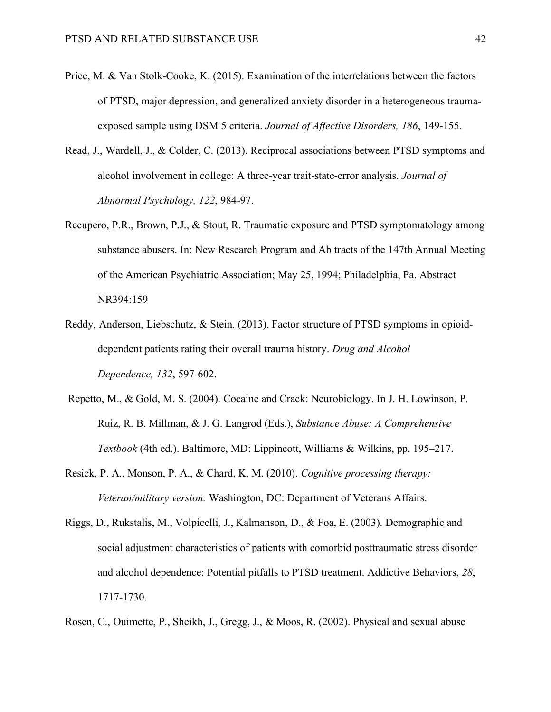- Price, M. & Van Stolk-Cooke, K. (2015). Examination of the interrelations between the factors of PTSD, major depression, and generalized anxiety disorder in a heterogeneous traumaexposed sample using DSM 5 criteria. *Journal of Affective Disorders, 186*, 149-155.
- Read, J., Wardell, J., & Colder, C. (2013). Reciprocal associations between PTSD symptoms and alcohol involvement in college: A three-year trait-state-error analysis. *Journal of Abnormal Psychology, 122*, 984-97.
- Recupero, P.R., Brown, P.J., & Stout, R. Traumatic exposure and PTSD symptomatology among substance abusers. In: New Research Program and Ab tracts of the 147th Annual Meeting of the American Psychiatric Association; May 25, 1994; Philadelphia, Pa. Abstract NR394:159
- Reddy, Anderson, Liebschutz, & Stein. (2013). Factor structure of PTSD symptoms in opioiddependent patients rating their overall trauma history. *Drug and Alcohol Dependence, 132*, 597-602.
- Repetto, M., & Gold, M. S. (2004). Cocaine and Crack: Neurobiology. In J. H. Lowinson, P. Ruiz, R. B. Millman, & J. G. Langrod (Eds.), *Substance Abuse: A Comprehensive Textbook* (4th ed.). Baltimore, MD: Lippincott, Williams & Wilkins, pp. 195–217.
- Resick, P. A., Monson, P. A., & Chard, K. M. (2010). *Cognitive processing therapy: Veteran/military version.* Washington, DC: Department of Veterans Affairs.
- Riggs, D., Rukstalis, M., Volpicelli, J., Kalmanson, D., & Foa, E. (2003). Demographic and social adjustment characteristics of patients with comorbid posttraumatic stress disorder and alcohol dependence: Potential pitfalls to PTSD treatment. Addictive Behaviors, *28*, 1717-1730.
- Rosen, C., Ouimette, P., Sheikh, J., Gregg, J., & Moos, R. (2002). Physical and sexual abuse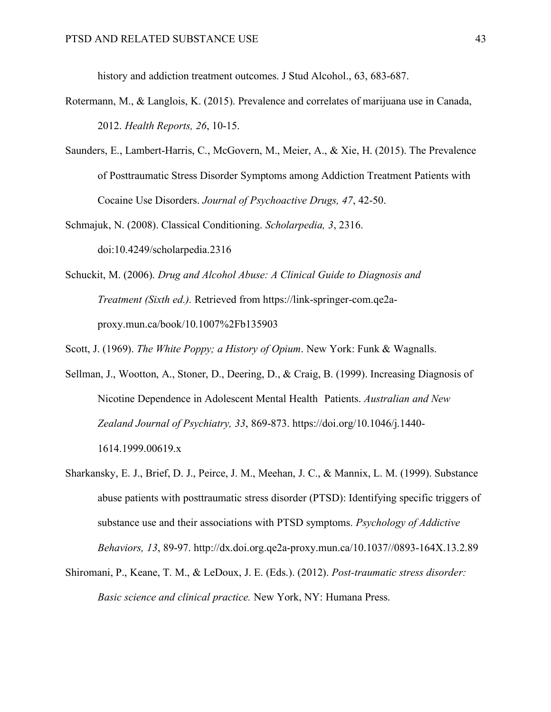history and addiction treatment outcomes. J Stud Alcohol., 63, 683-687.

- Rotermann, M., & Langlois, K. (2015). Prevalence and correlates of marijuana use in Canada, 2012. *Health Reports, 26*, 10-15.
- Saunders, E., Lambert-Harris, C., McGovern, M., Meier, A., & Xie, H. (2015). The Prevalence of Posttraumatic Stress Disorder Symptoms among Addiction Treatment Patients with Cocaine Use Disorders. *Journal of Psychoactive Drugs, 47*, 42-50.
- Schmajuk, N. (2008). Classical Conditioning. *Scholarpedia, 3*, 2316. doi:10.4249/scholarpedia.2316
- Schuckit, M. (2006). *Drug and Alcohol Abuse: A Clinical Guide to Diagnosis and Treatment (Sixth ed.).* Retrieved from https://link-springer-com.qe2aproxy.mun.ca/book/10.1007%2Fb135903
- Scott, J. (1969). *The White Poppy; a History of Opium*. New York: Funk & Wagnalls.
- Sellman, J., Wootton, A., Stoner, D., Deering, D., & Craig, B. (1999). Increasing Diagnosis of Nicotine Dependence in Adolescent Mental Health Patients. *Australian and New Zealand Journal of Psychiatry, 33*, 869-873. https://doi.org/10.1046/j.1440- 1614.1999.00619.x
- Sharkansky, E. J., Brief, D. J., Peirce, J. M., Meehan, J. C., & Mannix, L. M. (1999). Substance abuse patients with posttraumatic stress disorder (PTSD): Identifying specific triggers of substance use and their associations with PTSD symptoms. *Psychology of Addictive Behaviors, 13*, 89-97. http://dx.doi.org.qe2a-proxy.mun.ca/10.1037//0893-164X.13.2.89
- Shiromani, P., Keane, T. M., & LeDoux, J. E. (Eds.). (2012). *Post-traumatic stress disorder: Basic science and clinical practice.* New York, NY: Humana Press.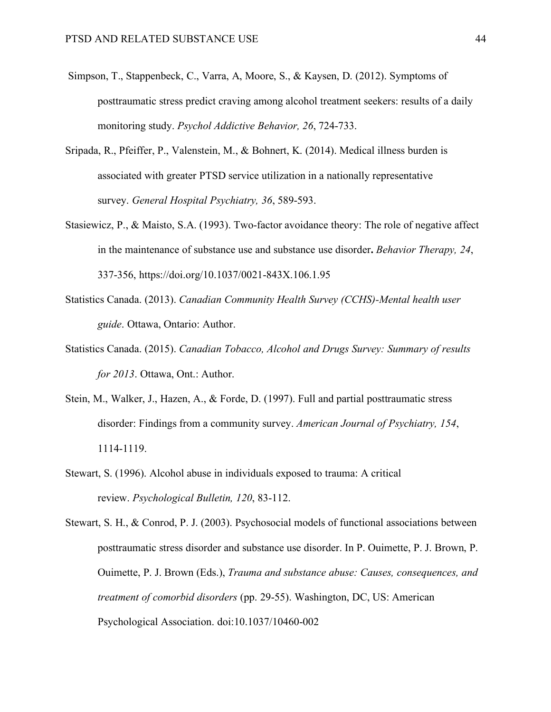- Simpson, T., Stappenbeck, C., Varra, A, Moore, S., & Kaysen, D. (2012). Symptoms of posttraumatic stress predict craving among alcohol treatment seekers: results of a daily monitoring study. *Psychol Addictive Behavior, 26*, 724-733.
- Sripada, R., Pfeiffer, P., Valenstein, M., & Bohnert, K. (2014). Medical illness burden is associated with greater PTSD service utilization in a nationally representative survey. *General Hospital Psychiatry, 36*, 589-593.
- Stasiewicz, P., & Maisto, S.A. (1993). Two-factor avoidance theory: The role of negative affect in the maintenance of substance use and substance use disorder**.** *Behavior Therapy, 24*, 337-356, https://doi.org/10.1037/0021-843X.106.1.95
- Statistics Canada. (2013). *Canadian Community Health Survey (CCHS)-Mental health user guide*. Ottawa, Ontario: Author.
- Statistics Canada. (2015). *Canadian Tobacco, Alcohol and Drugs Survey: Summary of results for 2013*. Ottawa, Ont.: Author.
- Stein, M., Walker, J., Hazen, A., & Forde, D. (1997). Full and partial posttraumatic stress disorder: Findings from a community survey. *American Journal of Psychiatry, 154*, 1114-1119.
- Stewart, S. (1996). Alcohol abuse in individuals exposed to trauma: A critical review. *Psychological Bulletin, 120*, 83-112.

Stewart, S. H., & Conrod, P. J. (2003). Psychosocial models of functional associations between posttraumatic stress disorder and substance use disorder. In P. Ouimette, P. J. Brown, P. Ouimette, P. J. Brown (Eds.), *Trauma and substance abuse: Causes, consequences, and treatment of comorbid disorders* (pp. 29-55). Washington, DC, US: American Psychological Association. doi:10.1037/10460-002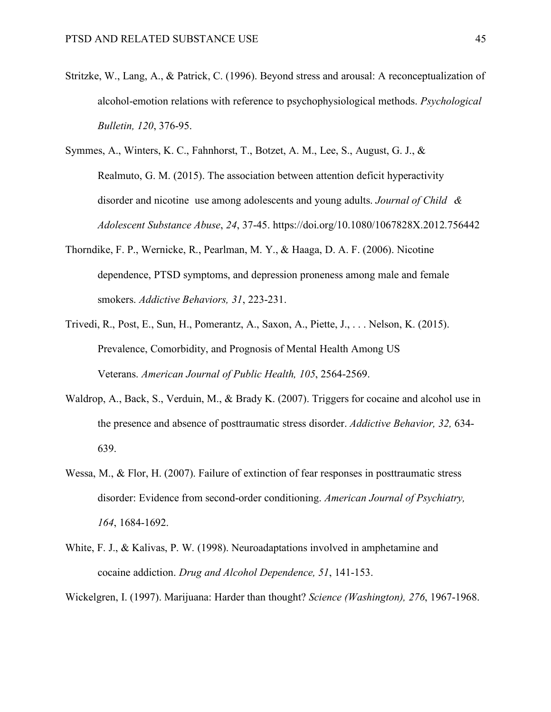- Stritzke, W., Lang, A., & Patrick, C. (1996). Beyond stress and arousal: A reconceptualization of alcohol-emotion relations with reference to psychophysiological methods. *Psychological Bulletin, 120*, 376-95.
- Symmes, A., Winters, K. C., Fahnhorst, T., Botzet, A. M., Lee, S., August, G. J., & Realmuto, G. M. (2015). The association between attention deficit hyperactivity disorder and nicotine use among adolescents and young adults. *Journal of Child & Adolescent Substance Abuse*, *24*, 37-45. https://doi.org/10.1080/1067828X.2012.756442
- Thorndike, F. P., Wernicke, R., Pearlman, M. Y., & Haaga, D. A. F. (2006). Nicotine dependence, PTSD symptoms, and depression proneness among male and female smokers. *Addictive Behaviors, 31*, 223-231.
- Trivedi, R., Post, E., Sun, H., Pomerantz, A., Saxon, A., Piette, J., . . . Nelson, K. (2015). Prevalence, Comorbidity, and Prognosis of Mental Health Among US Veterans. *American Journal of Public Health, 105*, 2564-2569.
- Waldrop, A., Back, S., Verduin, M., & Brady K. (2007). Triggers for cocaine and alcohol use in the presence and absence of posttraumatic stress disorder. *Addictive Behavior, 32,* 634- 639.
- Wessa, M., & Flor, H. (2007). Failure of extinction of fear responses in posttraumatic stress disorder: Evidence from second-order conditioning. *American Journal of Psychiatry, 164*, 1684-1692.
- White, F. J., & Kalivas, P. W. (1998). Neuroadaptations involved in amphetamine and cocaine addiction. *Drug and Alcohol Dependence, 51*, 141-153.

Wickelgren, I. (1997). Marijuana: Harder than thought? *Science (Washington), 276*, 1967-1968.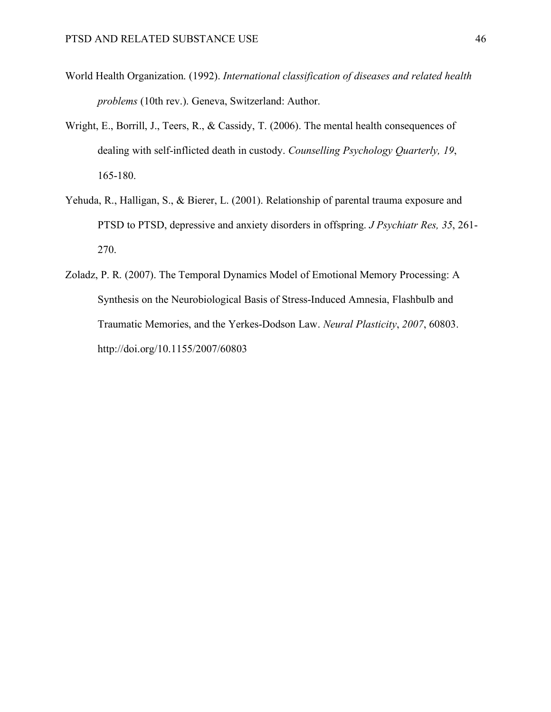- World Health Organization. (1992). *International classification of diseases and related health problems* (10th rev.). Geneva, Switzerland: Author.
- Wright, E., Borrill, J., Teers, R., & Cassidy, T. (2006). The mental health consequences of dealing with self-inflicted death in custody. *Counselling Psychology Quarterly, 19*, 165-180.
- Yehuda, R., Halligan, S., & Bierer, L. (2001). Relationship of parental trauma exposure and PTSD to PTSD, depressive and anxiety disorders in offspring. *J Psychiatr Res, 35*, 261- 270.
- Zoladz, P. R. (2007). The Temporal Dynamics Model of Emotional Memory Processing: A Synthesis on the Neurobiological Basis of Stress-Induced Amnesia, Flashbulb and Traumatic Memories, and the Yerkes-Dodson Law. *Neural Plasticity*, *2007*, 60803. http://doi.org/10.1155/2007/60803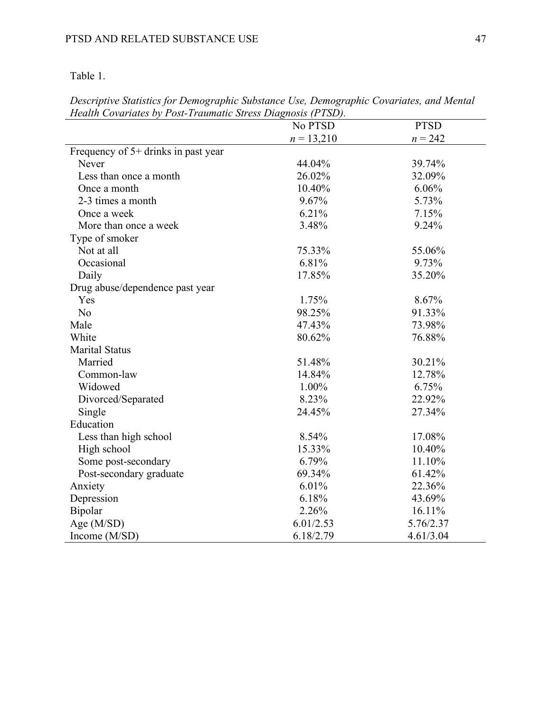Table 1.

*Descriptive Statistics for Demographic Substance Use, Demographic Covariates, and Mental Health Covariates by Post-Traumatic Stress Diagnosis (PTSD).* 

|                                     | No PTSD      | <b>PTSD</b> |
|-------------------------------------|--------------|-------------|
|                                     | $n = 13,210$ | $n = 242$   |
| Frequency of 5+ drinks in past year |              |             |
| <b>Never</b>                        | 44.04%       | 39.74%      |
| Less than once a month              | 26.02%       | 32.09%      |
| Once a month                        | 10.40%       | 6.06%       |
| 2-3 times a month                   | 9.67%        | 5.73%       |
| Once a week                         | 6.21%        | 7.15%       |
| More than once a week               | 3.48%        | 9.24%       |
| Type of smoker                      |              |             |
| Not at all                          | 75.33%       | 55.06%      |
| Occasional                          | 6.81%        | 9.73%       |
| Daily                               | 17.85%       | 35.20%      |
| Drug abuse/dependence past year     |              |             |
| Yes                                 | 1.75%        | 8.67%       |
| N <sub>0</sub>                      | 98.25%       | 91.33%      |
| Male                                | 47.43%       | 73.98%      |
| White                               | 80.62%       | 76.88%      |
| <b>Marital Status</b>               |              |             |
| Married                             | 51.48%       | 30.21%      |
| Common-law                          | 14.84%       | 12.78%      |
| Widowed                             | 1.00%        | 6.75%       |
| Divorced/Separated                  | 8.23%        | 22.92%      |
| Single                              | 24.45%       | 27.34%      |
| Education                           |              |             |
| Less than high school               | 8.54%        | 17.08%      |
| High school                         | 15.33%       | 10.40%      |
| Some post-secondary                 | 6.79%        | 11.10%      |
| Post-secondary graduate             | 69.34%       | 61.42%      |
| Anxiety                             | 6.01%        | 22.36%      |
| Depression                          | 6.18%        | 43.69%      |
| Bipolar                             | 2.26%        | 16.11%      |
| Age (M/SD)                          | 6.01/2.53    | 5.76/2.37   |
| Income (M/SD)                       | 6.18/2.79    | 4.61/3.04   |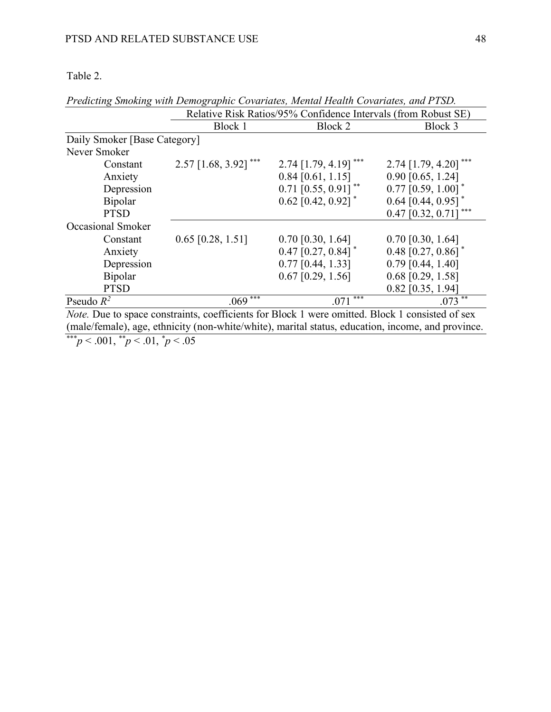# Table 2.

|                                                                                                                                                                                                                                                                                                                                                                                                                                                                                                                                                                                                                                                                                                                                                                                                                                                                                                  | Relative Risk Ratios/95% Confidence Intervals (from Robust SE) |                                   |                                    |
|--------------------------------------------------------------------------------------------------------------------------------------------------------------------------------------------------------------------------------------------------------------------------------------------------------------------------------------------------------------------------------------------------------------------------------------------------------------------------------------------------------------------------------------------------------------------------------------------------------------------------------------------------------------------------------------------------------------------------------------------------------------------------------------------------------------------------------------------------------------------------------------------------|----------------------------------------------------------------|-----------------------------------|------------------------------------|
|                                                                                                                                                                                                                                                                                                                                                                                                                                                                                                                                                                                                                                                                                                                                                                                                                                                                                                  | Block 1                                                        | Block 2                           | Block 3                            |
| Daily Smoker [Base Category]                                                                                                                                                                                                                                                                                                                                                                                                                                                                                                                                                                                                                                                                                                                                                                                                                                                                     |                                                                |                                   |                                    |
| Never Smoker                                                                                                                                                                                                                                                                                                                                                                                                                                                                                                                                                                                                                                                                                                                                                                                                                                                                                     |                                                                |                                   |                                    |
| Constant                                                                                                                                                                                                                                                                                                                                                                                                                                                                                                                                                                                                                                                                                                                                                                                                                                                                                         | $2.57$ [1.68, 3.92] <sup>***</sup>                             | $2.74$ [1.79, 4.19] <sup>**</sup> | $2.74$ [1.79, 4.20] <sup>***</sup> |
| Anxiety                                                                                                                                                                                                                                                                                                                                                                                                                                                                                                                                                                                                                                                                                                                                                                                                                                                                                          |                                                                | $0.84$ [0.61, 1.15]               | $0.90$ [0.65, 1.24]                |
| Depression                                                                                                                                                                                                                                                                                                                                                                                                                                                                                                                                                                                                                                                                                                                                                                                                                                                                                       |                                                                | $0.71$ [0.55, 0.91] <sup>**</sup> | $0.77$ [0.59, 1.00] <sup>*</sup>   |
| <b>Bipolar</b>                                                                                                                                                                                                                                                                                                                                                                                                                                                                                                                                                                                                                                                                                                                                                                                                                                                                                   |                                                                | $0.62$ [0.42, 0.92] <sup>*</sup>  | 0.64 $[0.44, 0.95]$ <sup>*</sup>   |
| <b>PTSD</b>                                                                                                                                                                                                                                                                                                                                                                                                                                                                                                                                                                                                                                                                                                                                                                                                                                                                                      |                                                                |                                   | $0.47$ [0.32, 0.71]                |
| Occasional Smoker                                                                                                                                                                                                                                                                                                                                                                                                                                                                                                                                                                                                                                                                                                                                                                                                                                                                                |                                                                |                                   |                                    |
| Constant                                                                                                                                                                                                                                                                                                                                                                                                                                                                                                                                                                                                                                                                                                                                                                                                                                                                                         | $0.65$ [0.28, 1.51]                                            | $0.70$ [0.30, 1.64]               | $0.70$ [0.30, 1.64]                |
| Anxiety                                                                                                                                                                                                                                                                                                                                                                                                                                                                                                                                                                                                                                                                                                                                                                                                                                                                                          |                                                                | $0.47$ [0.27, 0.84] <sup>*</sup>  | 0.48 $[0.27, 0.86]$ <sup>*</sup>   |
| Depression                                                                                                                                                                                                                                                                                                                                                                                                                                                                                                                                                                                                                                                                                                                                                                                                                                                                                       |                                                                | $0.77$ [0.44, 1.33]               | $0.79$ [0.44, 1.40]                |
| <b>Bipolar</b>                                                                                                                                                                                                                                                                                                                                                                                                                                                                                                                                                                                                                                                                                                                                                                                                                                                                                   |                                                                | $0.67$ [0.29, 1.56]               | $0.68$ [0.29, 1.58]                |
| <b>PTSD</b>                                                                                                                                                                                                                                                                                                                                                                                                                                                                                                                                                                                                                                                                                                                                                                                                                                                                                      |                                                                |                                   | $0.82$ [0.35, 1.94]                |
| Pseudo $R^2$                                                                                                                                                                                                                                                                                                                                                                                                                                                                                                                                                                                                                                                                                                                                                                                                                                                                                     | ***<br>.069                                                    | ***<br>.071                       | $.073$ <sup>**</sup>               |
| <i>Note.</i> Due to space constraints, coefficients for Block 1 were omitted. Block 1 consisted of sex<br>$\mathbf{1}$ $\mathbf{10}$ $\mathbf{11}$ $\mathbf{12}$ $\mathbf{13}$ $\mathbf{14}$ $\mathbf{15}$ $\mathbf{16}$ $\mathbf{17}$ $\mathbf{18}$ $\mathbf{18}$ $\mathbf{19}$ $\mathbf{19}$ $\mathbf{18}$ $\mathbf{19}$ $\mathbf{19}$ $\mathbf{19}$ $\mathbf{19}$ $\mathbf{19}$ $\mathbf{19}$ $\mathbf{19}$ $\mathbf{19}$ $\$<br>$\mathcal{L} = \mathcal{L} = \mathcal{L} = \mathcal{L} = \mathcal{L} = \mathcal{L} = \mathcal{L} = \mathcal{L} = \mathcal{L} = \mathcal{L} = \mathcal{L} = \mathcal{L} = \mathcal{L} = \mathcal{L} = \mathcal{L} = \mathcal{L} = \mathcal{L} = \mathcal{L} = \mathcal{L} = \mathcal{L} = \mathcal{L} = \mathcal{L} = \mathcal{L} = \mathcal{L} = \mathcal{L} = \mathcal{L} = \mathcal{L} = \mathcal{L} = \mathcal{L} = \mathcal{L} = \mathcal{L} = \mathcal$ |                                                                |                                   |                                    |

*Predicting Smoking with Demographic Covariates, Mental Health Covariates, and PTSD.*

(male/female), age, ethnicity (non-white/white), marital status, education, income, and province.

\*\*\**p* < .001, \*\**p* < .01, \* *p* < .05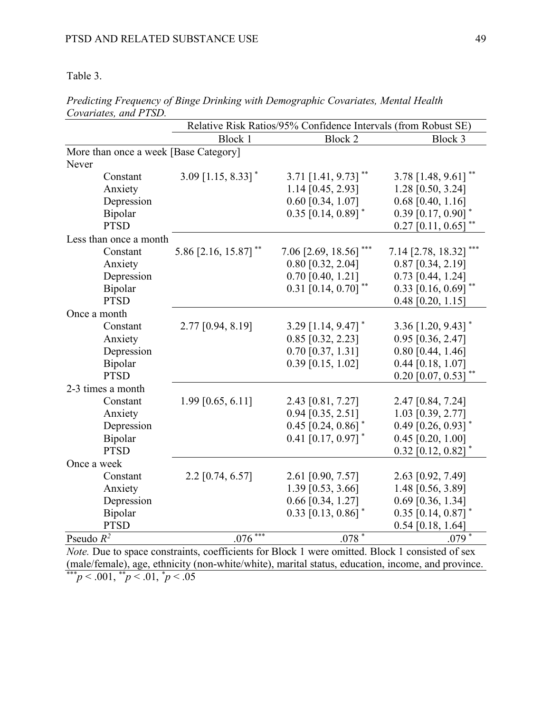Table 3.

|                                       | Relative Risk Ratios/95% Confidence Intervals (from Robust SE) |                                  |                                   |
|---------------------------------------|----------------------------------------------------------------|----------------------------------|-----------------------------------|
|                                       | Block 1                                                        | Block 2                          | Block 3                           |
| More than once a week [Base Category] |                                                                |                                  |                                   |
| Never                                 |                                                                |                                  |                                   |
| Constant                              | $3.09$ [1.15, 8.33] <sup>*</sup>                               | 3.71 $[1.41, 9.73]$ **           | $3.78$ [1.48, 9.61] <sup>**</sup> |
| Anxiety                               |                                                                | 1.14 [0.45, 2.93]                | 1.28 [0.50, 3.24]                 |
| Depression                            |                                                                | $0.60$ [0.34, 1.07]              | $0.68$ [0.40, 1.16]               |
| Bipolar                               |                                                                | $0.35$ [0.14, 0.89] <sup>*</sup> | $0.39$ [0.17, 0.90]               |
| <b>PTSD</b>                           |                                                                |                                  | $0.27$ [0.11, 0.65]               |
| Less than once a month                |                                                                |                                  |                                   |
| Constant                              | 5.86 [2.16, 15.87] **                                          | 7.06 [2.69, 18.56]               | 7.14 [2.78, 18.32]                |
| Anxiety                               |                                                                | $0.80$ [0.32, 2.04]              | $0.87$ [0.34, 2.19]               |
| Depression                            |                                                                | $0.70$ [0.40, 1.21]              | $0.73$ [0.44, 1.24]               |
| Bipolar                               |                                                                | $0.31$ [0.14, 0.70] **           | $0.33$ [0.16, 0.69]**             |
| <b>PTSD</b>                           |                                                                |                                  | $0.48$ [0.20, 1.15]               |
| Once a month                          |                                                                |                                  |                                   |
| Constant                              | 2.77 [0.94, 8.19]                                              | 3.29 [1.14, 9.47] $*$            | 3.36 $[1.20, 9.43]$ <sup>*</sup>  |
| Anxiety                               |                                                                | $0.85$ [0.32, 2.23]              | $0.95$ [0.36, 2.47]               |
| Depression                            |                                                                | $0.70$ [0.37, 1.31]              | $0.80$ [0.44, 1.46]               |
| Bipolar                               |                                                                | $0.39$ [0.15, 1.02]              | $0.44$ [0.18, 1.07]               |
| <b>PTSD</b>                           |                                                                |                                  | $0.20$ [0.07, 0.53]               |
| 2-3 times a month                     |                                                                |                                  |                                   |
| Constant                              | 1.99 [0.65, 6.11]                                              | 2.43 [0.81, 7.27]                | 2.47 [0.84, 7.24]                 |
| Anxiety                               |                                                                | $0.94$ [0.35, 2.51]              | 1.03 [0.39, 2.77]                 |
| Depression                            |                                                                | $0.45$ [0.24, 0.86]              | $0.49$ [0.26, 0.93] <sup>*</sup>  |
| Bipolar                               |                                                                | $0.41$ [0.17, 0.97]              | $0.45$ [0.20, 1.00]               |
| <b>PTSD</b>                           |                                                                |                                  | $0.32$ [0.12, 0.82]               |
| Once a week                           |                                                                |                                  |                                   |
| Constant                              | $2.2$ [0.74, 6.57]                                             | 2.61 [0.90, 7.57]                | 2.63 [0.92, 7.49]                 |
| Anxiety                               |                                                                | 1.39 [0.53, 3.66]                | 1.48 [0.56, 3.89]                 |
| Depression                            |                                                                | $0.66$ [0.34, 1.27]              | $0.69$ [0.36, 1.34]               |
| Bipolar                               |                                                                | $0.33$ [0.13, 0.86]              | $0.35$ [0.14, 0.87]               |
| <b>PTSD</b>                           |                                                                |                                  | $0.54$ [0.18, 1.64]               |
| Pseudo $R^2$                          | ***<br>.076                                                    | $.078*$                          | $.079^{*}$                        |

*Predicting Frequency of Binge Drinking with Demographic Covariates, Mental Health Covariates, and PTSD.*

*Note.* Due to space constraints, coefficients for Block 1 were omitted. Block 1 consisted of sex (male/female), age, ethnicity (non-white/white), marital status, education, income, and province. \*\*\**p* < .001, \*\**p* < .01, \* *p* < .05